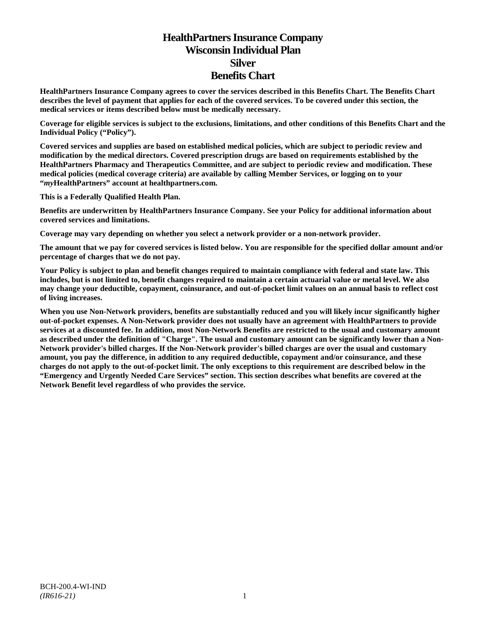# **HealthPartners Insurance Company Wisconsin Individual Plan Silver Benefits Chart**

**HealthPartners Insurance Company agrees to cover the services described in this Benefits Chart. The Benefits Chart describes the level of payment that applies for each of the covered services. To be covered under this section, the medical services or items described below must be medically necessary.**

**Coverage for eligible services is subject to the exclusions, limitations, and other conditions of this Benefits Chart and the Individual Policy ("Policy").**

**Covered services and supplies are based on established medical policies, which are subject to periodic review and modification by the medical directors. Covered prescription drugs are based on requirements established by the HealthPartners Pharmacy and Therapeutics Committee, and are subject to periodic review and modification. These medical policies (medical coverage criteria) are available by calling Member Services, or logging on to your "***my***HealthPartners" account at [healthpartners.com.](http://www.healthpartners.com/)**

**This is a Federally Qualified Health Plan.**

**Benefits are underwritten by HealthPartners Insurance Company. See your Policy for additional information about covered services and limitations.**

**Coverage may vary depending on whether you select a network provider or a non-network provider.**

**The amount that we pay for covered services is listed below. You are responsible for the specified dollar amount and/or percentage of charges that we do not pay.**

**Your Policy is subject to plan and benefit changes required to maintain compliance with federal and state law. This includes, but is not limited to, benefit changes required to maintain a certain actuarial value or metal level. We also may change your deductible, copayment, coinsurance, and out-of-pocket limit values on an annual basis to reflect cost of living increases.**

**When you use Non-Network providers, benefits are substantially reduced and you will likely incur significantly higher out-of-pocket expenses. A Non-Network provider does not usually have an agreement with HealthPartners to provide services at a discounted fee. In addition, most Non-Network Benefits are restricted to the usual and customary amount as described under the definition of "Charge". The usual and customary amount can be significantly lower than a Non-Network provider's billed charges. If the Non-Network provider's billed charges are over the usual and customary amount, you pay the difference, in addition to any required deductible, copayment and/or coinsurance, and these charges do not apply to the out-of-pocket limit. The only exceptions to this requirement are described below in the "Emergency and Urgently Needed Care Services" section. This section describes what benefits are covered at the Network Benefit level regardless of who provides the service.**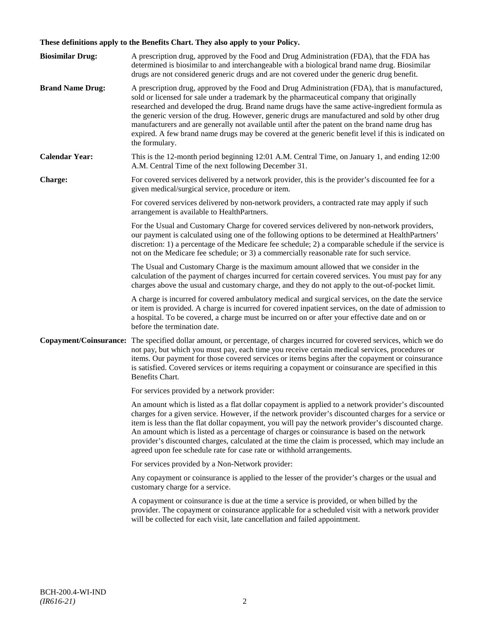# **These definitions apply to the Benefits Chart. They also apply to your Policy.**

| <b>Biosimilar Drug:</b> | A prescription drug, approved by the Food and Drug Administration (FDA), that the FDA has<br>determined is biosimilar to and interchangeable with a biological brand name drug. Biosimilar<br>drugs are not considered generic drugs and are not covered under the generic drug benefit.                                                                                                                                                                                                                                                                                                                                     |
|-------------------------|------------------------------------------------------------------------------------------------------------------------------------------------------------------------------------------------------------------------------------------------------------------------------------------------------------------------------------------------------------------------------------------------------------------------------------------------------------------------------------------------------------------------------------------------------------------------------------------------------------------------------|
| <b>Brand Name Drug:</b> | A prescription drug, approved by the Food and Drug Administration (FDA), that is manufactured,<br>sold or licensed for sale under a trademark by the pharmaceutical company that originally<br>researched and developed the drug. Brand name drugs have the same active-ingredient formula as<br>the generic version of the drug. However, generic drugs are manufactured and sold by other drug<br>manufacturers and are generally not available until after the patent on the brand name drug has<br>expired. A few brand name drugs may be covered at the generic benefit level if this is indicated on<br>the formulary. |
| <b>Calendar Year:</b>   | This is the 12-month period beginning 12:01 A.M. Central Time, on January 1, and ending 12:00<br>A.M. Central Time of the next following December 31.                                                                                                                                                                                                                                                                                                                                                                                                                                                                        |
| Charge:                 | For covered services delivered by a network provider, this is the provider's discounted fee for a<br>given medical/surgical service, procedure or item.                                                                                                                                                                                                                                                                                                                                                                                                                                                                      |
|                         | For covered services delivered by non-network providers, a contracted rate may apply if such<br>arrangement is available to HealthPartners.                                                                                                                                                                                                                                                                                                                                                                                                                                                                                  |
|                         | For the Usual and Customary Charge for covered services delivered by non-network providers,<br>our payment is calculated using one of the following options to be determined at HealthPartners'<br>discretion: 1) a percentage of the Medicare fee schedule; 2) a comparable schedule if the service is<br>not on the Medicare fee schedule; or 3) a commercially reasonable rate for such service.                                                                                                                                                                                                                          |
|                         | The Usual and Customary Charge is the maximum amount allowed that we consider in the<br>calculation of the payment of charges incurred for certain covered services. You must pay for any<br>charges above the usual and customary charge, and they do not apply to the out-of-pocket limit.                                                                                                                                                                                                                                                                                                                                 |
|                         | A charge is incurred for covered ambulatory medical and surgical services, on the date the service<br>or item is provided. A charge is incurred for covered inpatient services, on the date of admission to<br>a hospital. To be covered, a charge must be incurred on or after your effective date and on or<br>before the termination date.                                                                                                                                                                                                                                                                                |
|                         | Copayment/Coinsurance: The specified dollar amount, or percentage, of charges incurred for covered services, which we do<br>not pay, but which you must pay, each time you receive certain medical services, procedures or<br>items. Our payment for those covered services or items begins after the copayment or coinsurance<br>is satisfied. Covered services or items requiring a copayment or coinsurance are specified in this<br>Benefits Chart.                                                                                                                                                                      |
|                         | For services provided by a network provider:                                                                                                                                                                                                                                                                                                                                                                                                                                                                                                                                                                                 |
|                         | An amount which is listed as a flat dollar copayment is applied to a network provider's discounted<br>charges for a given service. However, if the network provider's discounted charges for a service or<br>item is less than the flat dollar copayment, you will pay the network provider's discounted charge.<br>An amount which is listed as a percentage of charges or coinsurance is based on the network<br>provider's discounted charges, calculated at the time the claim is processed, which may include an<br>agreed upon fee schedule rate for case rate or withhold arrangements.                               |
|                         | For services provided by a Non-Network provider:                                                                                                                                                                                                                                                                                                                                                                                                                                                                                                                                                                             |
|                         | Any copayment or coinsurance is applied to the lesser of the provider's charges or the usual and<br>customary charge for a service.                                                                                                                                                                                                                                                                                                                                                                                                                                                                                          |
|                         | A copayment or coinsurance is due at the time a service is provided, or when billed by the<br>provider. The copayment or coinsurance applicable for a scheduled visit with a network provider<br>will be collected for each visit, late cancellation and failed appointment.                                                                                                                                                                                                                                                                                                                                                 |
|                         |                                                                                                                                                                                                                                                                                                                                                                                                                                                                                                                                                                                                                              |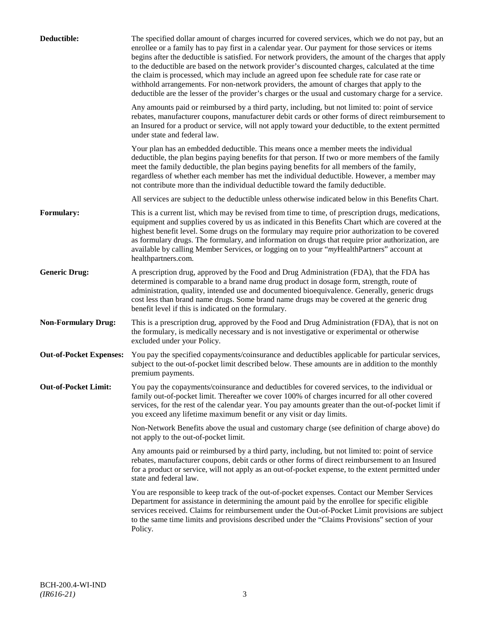| Deductible:                    | The specified dollar amount of charges incurred for covered services, which we do not pay, but an<br>enrollee or a family has to pay first in a calendar year. Our payment for those services or items<br>begins after the deductible is satisfied. For network providers, the amount of the charges that apply<br>to the deductible are based on the network provider's discounted charges, calculated at the time<br>the claim is processed, which may include an agreed upon fee schedule rate for case rate or<br>withhold arrangements. For non-network providers, the amount of charges that apply to the<br>deductible are the lesser of the provider's charges or the usual and customary charge for a service. |
|--------------------------------|-------------------------------------------------------------------------------------------------------------------------------------------------------------------------------------------------------------------------------------------------------------------------------------------------------------------------------------------------------------------------------------------------------------------------------------------------------------------------------------------------------------------------------------------------------------------------------------------------------------------------------------------------------------------------------------------------------------------------|
|                                | Any amounts paid or reimbursed by a third party, including, but not limited to: point of service<br>rebates, manufacturer coupons, manufacturer debit cards or other forms of direct reimbursement to<br>an Insured for a product or service, will not apply toward your deductible, to the extent permitted<br>under state and federal law.                                                                                                                                                                                                                                                                                                                                                                            |
|                                | Your plan has an embedded deductible. This means once a member meets the individual<br>deductible, the plan begins paying benefits for that person. If two or more members of the family<br>meet the family deductible, the plan begins paying benefits for all members of the family,<br>regardless of whether each member has met the individual deductible. However, a member may<br>not contribute more than the individual deductible toward the family deductible.                                                                                                                                                                                                                                                |
|                                | All services are subject to the deductible unless otherwise indicated below in this Benefits Chart.                                                                                                                                                                                                                                                                                                                                                                                                                                                                                                                                                                                                                     |
| <b>Formulary:</b>              | This is a current list, which may be revised from time to time, of prescription drugs, medications,<br>equipment and supplies covered by us as indicated in this Benefits Chart which are covered at the<br>highest benefit level. Some drugs on the formulary may require prior authorization to be covered<br>as formulary drugs. The formulary, and information on drugs that require prior authorization, are<br>available by calling Member Services, or logging on to your "myHealthPartners" account at<br>healthpartners.com.                                                                                                                                                                                   |
| <b>Generic Drug:</b>           | A prescription drug, approved by the Food and Drug Administration (FDA), that the FDA has<br>determined is comparable to a brand name drug product in dosage form, strength, route of<br>administration, quality, intended use and documented bioequivalence. Generally, generic drugs<br>cost less than brand name drugs. Some brand name drugs may be covered at the generic drug<br>benefit level if this is indicated on the formulary.                                                                                                                                                                                                                                                                             |
| <b>Non-Formulary Drug:</b>     | This is a prescription drug, approved by the Food and Drug Administration (FDA), that is not on<br>the formulary, is medically necessary and is not investigative or experimental or otherwise<br>excluded under your Policy.                                                                                                                                                                                                                                                                                                                                                                                                                                                                                           |
| <b>Out-of-Pocket Expenses:</b> | You pay the specified copayments/coinsurance and deductibles applicable for particular services,<br>subject to the out-of-pocket limit described below. These amounts are in addition to the monthly<br>premium payments.                                                                                                                                                                                                                                                                                                                                                                                                                                                                                               |
| <b>Out-of-Pocket Limit:</b>    | You pay the copayments/coinsurance and deductibles for covered services, to the individual or<br>family out-of-pocket limit. Thereafter we cover 100% of charges incurred for all other covered<br>services, for the rest of the calendar year. You pay amounts greater than the out-of-pocket limit if<br>you exceed any lifetime maximum benefit or any visit or day limits.                                                                                                                                                                                                                                                                                                                                          |
|                                | Non-Network Benefits above the usual and customary charge (see definition of charge above) do<br>not apply to the out-of-pocket limit.                                                                                                                                                                                                                                                                                                                                                                                                                                                                                                                                                                                  |
|                                | Any amounts paid or reimbursed by a third party, including, but not limited to: point of service<br>rebates, manufacturer coupons, debit cards or other forms of direct reimbursement to an Insured<br>for a product or service, will not apply as an out-of-pocket expense, to the extent permitted under<br>state and federal law.                                                                                                                                                                                                                                                                                                                                                                                    |
|                                | You are responsible to keep track of the out-of-pocket expenses. Contact our Member Services<br>Department for assistance in determining the amount paid by the enrollee for specific eligible<br>services received. Claims for reimbursement under the Out-of-Pocket Limit provisions are subject<br>to the same time limits and provisions described under the "Claims Provisions" section of your<br>Policy.                                                                                                                                                                                                                                                                                                         |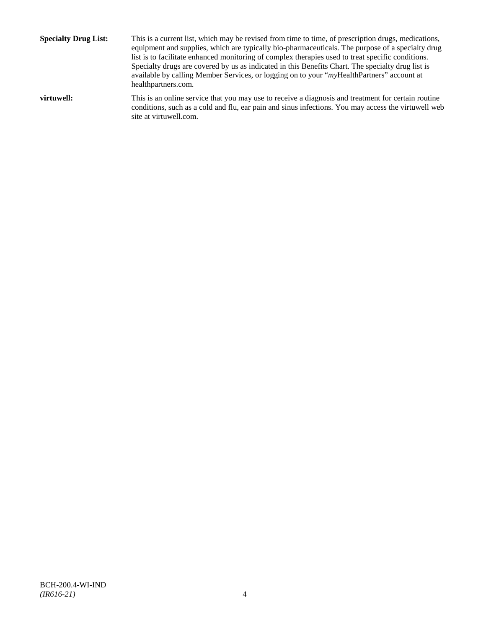**Specialty Drug List:** This is a current list, which may be revised from time to time, of prescription drugs, medications, equipment and supplies, which are typically bio-pharmaceuticals. The purpose of a specialty drug list is to facilitate enhanced monitoring of complex therapies used to treat specific conditions. Specialty drugs are covered by us as indicated in this Benefits Chart. The specialty drug list is available by calling Member Services, or logging on to your "*my*HealthPartners" account at [healthpartners.com.](http://www.healthpartners.com/) **virtuwell:** This is an online service that you may use to receive a diagnosis and treatment for certain routine conditions, such as a cold and flu, ear pain and sinus infections. You may access the virtuwell web

site a[t virtuwell.com.](http://www.virtuwell.com/)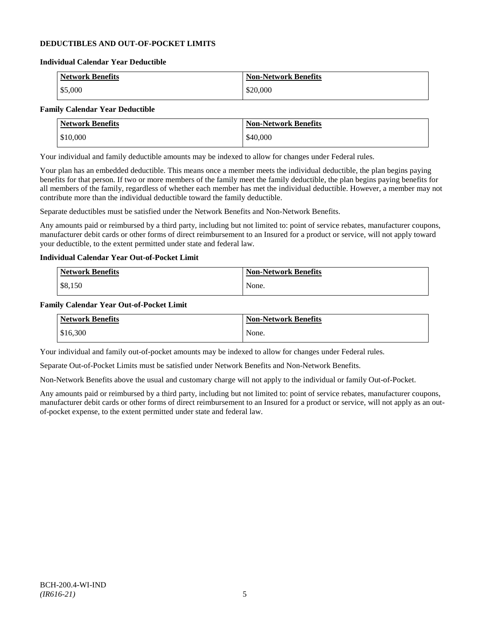# **DEDUCTIBLES AND OUT-OF-POCKET LIMITS**

#### **Individual Calendar Year Deductible**

| <b>Network Benefits</b> | <b>Non-Network Benefits</b> |
|-------------------------|-----------------------------|
| \$5,000                 | \$20,000                    |

# **Family Calendar Year Deductible**

| <b>Network Benefits</b> | <b>Non-Network Benefits</b> |
|-------------------------|-----------------------------|
| \$10,000                | \$40,000                    |

Your individual and family deductible amounts may be indexed to allow for changes under Federal rules.

Your plan has an embedded deductible. This means once a member meets the individual deductible, the plan begins paying benefits for that person. If two or more members of the family meet the family deductible, the plan begins paying benefits for all members of the family, regardless of whether each member has met the individual deductible. However, a member may not contribute more than the individual deductible toward the family deductible.

Separate deductibles must be satisfied under the Network Benefits and Non-Network Benefits.

Any amounts paid or reimbursed by a third party, including but not limited to: point of service rebates, manufacturer coupons, manufacturer debit cards or other forms of direct reimbursement to an Insured for a product or service, will not apply toward your deductible, to the extent permitted under state and federal law.

# **Individual Calendar Year Out-of-Pocket Limit**

| Network Benefits | <b>Non-Network Benefits</b> |
|------------------|-----------------------------|
| \$8,150          | None.                       |

### **Family Calendar Year Out-of-Pocket Limit**

| <b>Network Benefits</b> | <b>Non-Network Benefits</b> |
|-------------------------|-----------------------------|
| \$16,300                | None.                       |

Your individual and family out-of-pocket amounts may be indexed to allow for changes under Federal rules.

Separate Out-of-Pocket Limits must be satisfied under Network Benefits and Non-Network Benefits.

Non-Network Benefits above the usual and customary charge will not apply to the individual or family Out-of-Pocket.

Any amounts paid or reimbursed by a third party, including but not limited to: point of service rebates, manufacturer coupons, manufacturer debit cards or other forms of direct reimbursement to an Insured for a product or service, will not apply as an outof-pocket expense, to the extent permitted under state and federal law.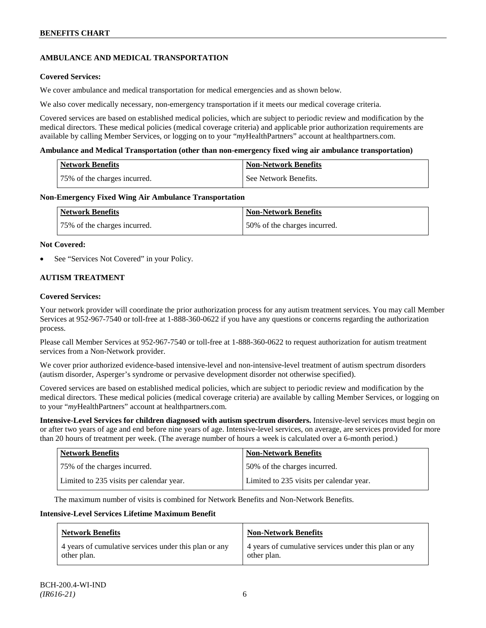# **AMBULANCE AND MEDICAL TRANSPORTATION**

# **Covered Services:**

We cover ambulance and medical transportation for medical emergencies and as shown below.

We also cover medically necessary, non-emergency transportation if it meets our medical coverage criteria.

Covered services are based on established medical policies, which are subject to periodic review and modification by the medical directors. These medical policies (medical coverage criteria) and applicable prior authorization requirements are available by calling Member Services, or logging on to your "*my*HealthPartners" account a[t healthpartners.com.](http://www.healthpartners.com/)

### **Ambulance and Medical Transportation (other than non-emergency fixed wing air ambulance transportation)**

| <b>Network Benefits</b>      | <b>Non-Network Benefits</b> |
|------------------------------|-----------------------------|
| 75% of the charges incurred. | See Network Benefits.       |

### **Non-Emergency Fixed Wing Air Ambulance Transportation**

| <b>Network Benefits</b>      | <b>Non-Network Benefits</b>  |
|------------------------------|------------------------------|
| 75% of the charges incurred. | 50% of the charges incurred. |

### **Not Covered:**

See "Services Not Covered" in your Policy.

# **AUTISM TREATMENT**

### **Covered Services:**

Your network provider will coordinate the prior authorization process for any autism treatment services. You may call Member Services at 952-967-7540 or toll-free at 1-888-360-0622 if you have any questions or concerns regarding the authorization process.

Please call Member Services at 952-967-7540 or toll-free at 1-888-360-0622 to request authorization for autism treatment services from a Non-Network provider.

We cover prior authorized evidence-based intensive-level and non-intensive-level treatment of autism spectrum disorders (autism disorder, Asperger's syndrome or pervasive development disorder not otherwise specified).

Covered services are based on established medical policies, which are subject to periodic review and modification by the medical directors. These medical policies (medical coverage criteria) are available by calling Member Services, or logging on to your "*my*HealthPartners" account at [healthpartners.com.](http://www.healthpartners.com/)

**Intensive-Level Services for children diagnosed with autism spectrum disorders.** Intensive-level services must begin on or after two years of age and end before nine years of age. Intensive-level services, on average, are services provided for more than 20 hours of treatment per week. (The average number of hours a week is calculated over a 6-month period.)

| <b>Network Benefits</b>                  | <b>Non-Network Benefits</b>              |
|------------------------------------------|------------------------------------------|
| 75% of the charges incurred.             | 50% of the charges incurred.             |
| Limited to 235 visits per calendar year. | Limited to 235 visits per calendar year. |

The maximum number of visits is combined for Network Benefits and Non-Network Benefits.

#### **Intensive-Level Services Lifetime Maximum Benefit**

| <b>Network Benefits</b>                               | <b>Non-Network Benefits</b>                           |
|-------------------------------------------------------|-------------------------------------------------------|
| 4 years of cumulative services under this plan or any | 4 years of cumulative services under this plan or any |
| other plan.                                           | other plan.                                           |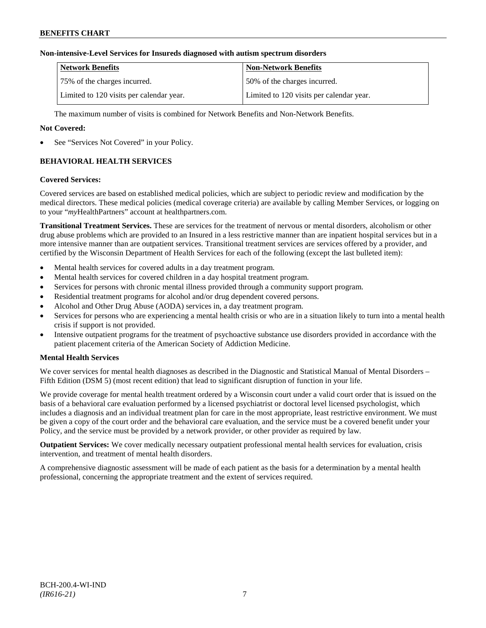# **Non-intensive-Level Services for Insureds diagnosed with autism spectrum disorders**

| <b>Network Benefits</b>                  | <b>Non-Network Benefits</b>              |
|------------------------------------------|------------------------------------------|
| 75% of the charges incurred.             | 150% of the charges incurred.            |
| Limited to 120 visits per calendar year. | Limited to 120 visits per calendar year. |

The maximum number of visits is combined for Network Benefits and Non-Network Benefits.

# **Not Covered:**

See "Services Not Covered" in your Policy.

# **BEHAVIORAL HEALTH SERVICES**

#### **Covered Services:**

Covered services are based on established medical policies, which are subject to periodic review and modification by the medical directors. These medical policies (medical coverage criteria) are available by calling Member Services, or logging on to your "*my*HealthPartners" account at [healthpartners.com.](http://www.healthpartners.com/)

**Transitional Treatment Services.** These are services for the treatment of nervous or mental disorders, alcoholism or other drug abuse problems which are provided to an Insured in a less restrictive manner than are inpatient hospital services but in a more intensive manner than are outpatient services. Transitional treatment services are services offered by a provider, and certified by the Wisconsin Department of Health Services for each of the following (except the last bulleted item):

- Mental health services for covered adults in a day treatment program.
- Mental health services for covered children in a day hospital treatment program.
- Services for persons with chronic mental illness provided through a community support program.
- Residential treatment programs for alcohol and/or drug dependent covered persons.
- Alcohol and Other Drug Abuse (AODA) services in, a day treatment program.
- Services for persons who are experiencing a mental health crisis or who are in a situation likely to turn into a mental health crisis if support is not provided.
- Intensive outpatient programs for the treatment of psychoactive substance use disorders provided in accordance with the patient placement criteria of the American Society of Addiction Medicine.

# **Mental Health Services**

We cover services for mental health diagnoses as described in the Diagnostic and Statistical Manual of Mental Disorders – Fifth Edition (DSM 5) (most recent edition) that lead to significant disruption of function in your life.

We provide coverage for mental health treatment ordered by a Wisconsin court under a valid court order that is issued on the basis of a behavioral care evaluation performed by a licensed psychiatrist or doctoral level licensed psychologist, which includes a diagnosis and an individual treatment plan for care in the most appropriate, least restrictive environment. We must be given a copy of the court order and the behavioral care evaluation, and the service must be a covered benefit under your Policy, and the service must be provided by a network provider, or other provider as required by law.

**Outpatient Services:** We cover medically necessary outpatient professional mental health services for evaluation, crisis intervention, and treatment of mental health disorders.

A comprehensive diagnostic assessment will be made of each patient as the basis for a determination by a mental health professional, concerning the appropriate treatment and the extent of services required.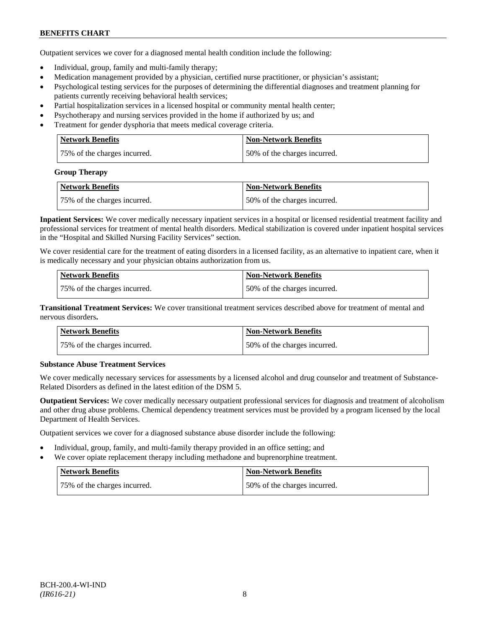Outpatient services we cover for a diagnosed mental health condition include the following:

- Individual, group, family and multi-family therapy;
- Medication management provided by a physician, certified nurse practitioner, or physician's assistant;
- Psychological testing services for the purposes of determining the differential diagnoses and treatment planning for patients currently receiving behavioral health services;
- Partial hospitalization services in a licensed hospital or community mental health center;
- Psychotherapy and nursing services provided in the home if authorized by us; and
- Treatment for gender dysphoria that meets medical coverage criteria.

| <b>Network Benefits</b>      | <b>Non-Network Benefits</b>  |
|------------------------------|------------------------------|
| 75% of the charges incurred. | 50% of the charges incurred. |

#### **Group Therapy**

| Network Benefits             | <b>Non-Network Benefits</b>  |
|------------------------------|------------------------------|
| 75% of the charges incurred. | 50% of the charges incurred. |

**Inpatient Services:** We cover medically necessary inpatient services in a hospital or licensed residential treatment facility and professional services for treatment of mental health disorders. Medical stabilization is covered under inpatient hospital services in the "Hospital and Skilled Nursing Facility Services" section.

We cover residential care for the treatment of eating disorders in a licensed facility, as an alternative to inpatient care, when it is medically necessary and your physician obtains authorization from us.

| <b>Network Benefits</b>      | <b>Non-Network Benefits</b>  |
|------------------------------|------------------------------|
| 75% of the charges incurred. | 50% of the charges incurred. |

**Transitional Treatment Services:** We cover transitional treatment services described above for treatment of mental and nervous disorders**.**

| <b>Network Benefits</b>      | <b>Non-Network Benefits</b>   |
|------------------------------|-------------------------------|
| 75% of the charges incurred. | 150% of the charges incurred. |

# **Substance Abuse Treatment Services**

We cover medically necessary services for assessments by a licensed alcohol and drug counselor and treatment of Substance-Related Disorders as defined in the latest edition of the DSM 5.

**Outpatient Services:** We cover medically necessary outpatient professional services for diagnosis and treatment of alcoholism and other drug abuse problems. Chemical dependency treatment services must be provided by a program licensed by the local Department of Health Services.

Outpatient services we cover for a diagnosed substance abuse disorder include the following:

- Individual, group, family, and multi-family therapy provided in an office setting; and
- We cover opiate replacement therapy including methadone and buprenorphine treatment.

| Network Benefits             | <b>Non-Network Benefits</b>  |
|------------------------------|------------------------------|
| 75% of the charges incurred. | 50% of the charges incurred. |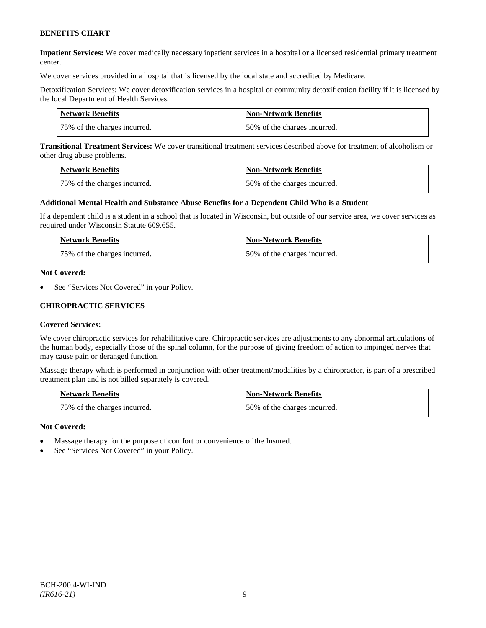**Inpatient Services:** We cover medically necessary inpatient services in a hospital or a licensed residential primary treatment center.

We cover services provided in a hospital that is licensed by the local state and accredited by Medicare.

Detoxification Services: We cover detoxification services in a hospital or community detoxification facility if it is licensed by the local Department of Health Services.

| Network Benefits             | <b>Non-Network Benefits</b>  |
|------------------------------|------------------------------|
| 75% of the charges incurred. | 50% of the charges incurred. |

**Transitional Treatment Services:** We cover transitional treatment services described above for treatment of alcoholism or other drug abuse problems.

| <b>Network Benefits</b>      | <b>Non-Network Benefits</b>  |
|------------------------------|------------------------------|
| 75% of the charges incurred. | 50% of the charges incurred. |

#### **Additional Mental Health and Substance Abuse Benefits for a Dependent Child Who is a Student**

If a dependent child is a student in a school that is located in Wisconsin, but outside of our service area, we cover services as required under Wisconsin Statute 609.655.

| <b>Network Benefits</b>      | <b>Non-Network Benefits</b>  |
|------------------------------|------------------------------|
| 75% of the charges incurred. | 50% of the charges incurred. |

#### **Not Covered:**

See "Services Not Covered" in your Policy.

### **CHIROPRACTIC SERVICES**

#### **Covered Services:**

We cover chiropractic services for rehabilitative care. Chiropractic services are adjustments to any abnormal articulations of the human body, especially those of the spinal column, for the purpose of giving freedom of action to impinged nerves that may cause pain or deranged function.

Massage therapy which is performed in conjunction with other treatment/modalities by a chiropractor, is part of a prescribed treatment plan and is not billed separately is covered.

| <b>Network Benefits</b>      | Non-Network Benefits         |
|------------------------------|------------------------------|
| 75% of the charges incurred. | 50% of the charges incurred. |

#### **Not Covered:**

- Massage therapy for the purpose of comfort or convenience of the Insured.
- See "Services Not Covered" in your Policy.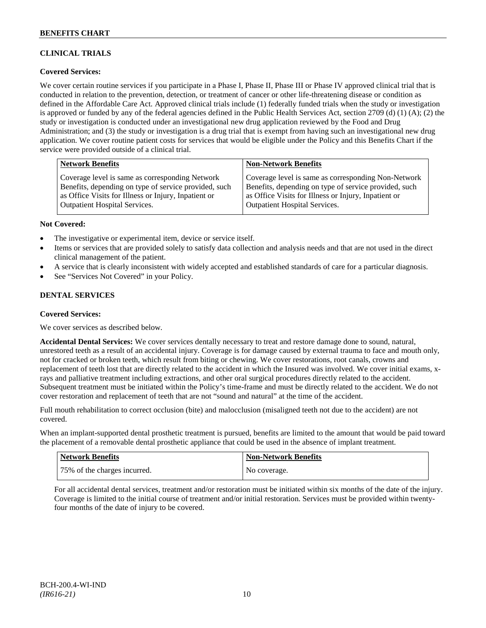# **CLINICAL TRIALS**

# **Covered Services:**

We cover certain routine services if you participate in a Phase I, Phase II, Phase III or Phase IV approved clinical trial that is conducted in relation to the prevention, detection, or treatment of cancer or other life-threatening disease or condition as defined in the Affordable Care Act. Approved clinical trials include (1) federally funded trials when the study or investigation is approved or funded by any of the federal agencies defined in the Public Health Services Act, section 2709 (d) (1) (A); (2) the study or investigation is conducted under an investigational new drug application reviewed by the Food and Drug Administration; and (3) the study or investigation is a drug trial that is exempt from having such an investigational new drug application. We cover routine patient costs for services that would be eligible under the Policy and this Benefits Chart if the service were provided outside of a clinical trial.

| <b>Network Benefits</b>                               | <b>Non-Network Benefits</b>                           |
|-------------------------------------------------------|-------------------------------------------------------|
| Coverage level is same as corresponding Network       | Coverage level is same as corresponding Non-Network   |
| Benefits, depending on type of service provided, such | Benefits, depending on type of service provided, such |
| as Office Visits for Illness or Injury, Inpatient or  | as Office Visits for Illness or Injury, Inpatient or  |
| Outpatient Hospital Services.                         | <b>Outpatient Hospital Services.</b>                  |

### **Not Covered:**

- The investigative or experimental item, device or service itself.
- Items or services that are provided solely to satisfy data collection and analysis needs and that are not used in the direct clinical management of the patient.
- A service that is clearly inconsistent with widely accepted and established standards of care for a particular diagnosis.
- See "Services Not Covered" in your Policy.

# **DENTAL SERVICES**

#### **Covered Services:**

We cover services as described below.

**Accidental Dental Services:** We cover services dentally necessary to treat and restore damage done to sound, natural, unrestored teeth as a result of an accidental injury. Coverage is for damage caused by external trauma to face and mouth only, not for cracked or broken teeth, which result from biting or chewing. We cover restorations, root canals, crowns and replacement of teeth lost that are directly related to the accident in which the Insured was involved. We cover initial exams, xrays and palliative treatment including extractions, and other oral surgical procedures directly related to the accident. Subsequent treatment must be initiated within the Policy's time-frame and must be directly related to the accident. We do not cover restoration and replacement of teeth that are not "sound and natural" at the time of the accident.

Full mouth rehabilitation to correct occlusion (bite) and malocclusion (misaligned teeth not due to the accident) are not covered.

When an implant-supported dental prosthetic treatment is pursued, benefits are limited to the amount that would be paid toward the placement of a removable dental prosthetic appliance that could be used in the absence of implant treatment.

| Network Benefits             | <b>Non-Network Benefits</b> |
|------------------------------|-----------------------------|
| 75% of the charges incurred. | No coverage.                |

For all accidental dental services, treatment and/or restoration must be initiated within six months of the date of the injury. Coverage is limited to the initial course of treatment and/or initial restoration. Services must be provided within twentyfour months of the date of injury to be covered.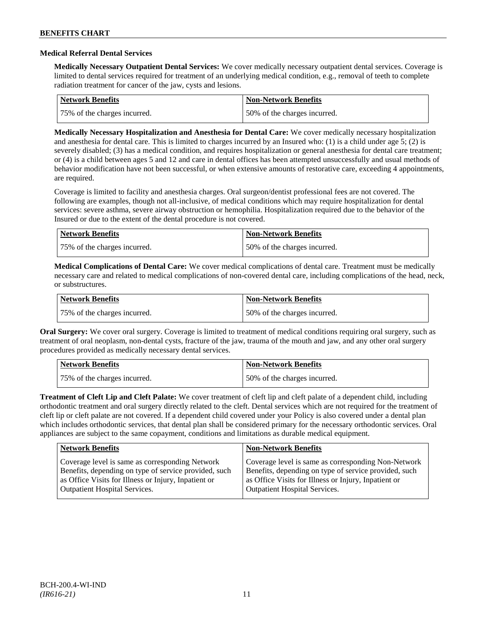### **Medical Referral Dental Services**

**Medically Necessary Outpatient Dental Services:** We cover medically necessary outpatient dental services. Coverage is limited to dental services required for treatment of an underlying medical condition, e.g., removal of teeth to complete radiation treatment for cancer of the jaw, cysts and lesions.

| <b>Network Benefits</b>      | Non-Network Benefits         |
|------------------------------|------------------------------|
| 75% of the charges incurred. | 50% of the charges incurred. |

**Medically Necessary Hospitalization and Anesthesia for Dental Care:** We cover medically necessary hospitalization and anesthesia for dental care. This is limited to charges incurred by an Insured who: (1) is a child under age 5; (2) is severely disabled; (3) has a medical condition, and requires hospitalization or general anesthesia for dental care treatment; or (4) is a child between ages 5 and 12 and care in dental offices has been attempted unsuccessfully and usual methods of behavior modification have not been successful, or when extensive amounts of restorative care, exceeding 4 appointments, are required.

Coverage is limited to facility and anesthesia charges. Oral surgeon/dentist professional fees are not covered. The following are examples, though not all-inclusive, of medical conditions which may require hospitalization for dental services: severe asthma, severe airway obstruction or hemophilia. Hospitalization required due to the behavior of the Insured or due to the extent of the dental procedure is not covered.

| Network Benefits             | <b>Non-Network Benefits</b>  |
|------------------------------|------------------------------|
| 75% of the charges incurred. | 50% of the charges incurred. |

**Medical Complications of Dental Care:** We cover medical complications of dental care. Treatment must be medically necessary care and related to medical complications of non-covered dental care, including complications of the head, neck, or substructures.

| Network Benefits             | <b>Non-Network Benefits</b>  |
|------------------------------|------------------------------|
| 75% of the charges incurred. | 50% of the charges incurred. |

**Oral Surgery:** We cover oral surgery. Coverage is limited to treatment of medical conditions requiring oral surgery, such as treatment of oral neoplasm, non-dental cysts, fracture of the jaw, trauma of the mouth and jaw, and any other oral surgery procedures provided as medically necessary dental services.

| <b>Network Benefits</b>       | <b>Non-Network Benefits</b>   |
|-------------------------------|-------------------------------|
| 175% of the charges incurred. | 150% of the charges incurred. |

**Treatment of Cleft Lip and Cleft Palate:** We cover treatment of cleft lip and cleft palate of a dependent child, including orthodontic treatment and oral surgery directly related to the cleft. Dental services which are not required for the treatment of cleft lip or cleft palate are not covered. If a dependent child covered under your Policy is also covered under a dental plan which includes orthodontic services, that dental plan shall be considered primary for the necessary orthodontic services. Oral appliances are subject to the same copayment, conditions and limitations as durable medical equipment.

| <b>Network Benefits</b>                               | <b>Non-Network Benefits</b>                           |
|-------------------------------------------------------|-------------------------------------------------------|
| Coverage level is same as corresponding Network       | Coverage level is same as corresponding Non-Network   |
| Benefits, depending on type of service provided, such | Benefits, depending on type of service provided, such |
| as Office Visits for Illness or Injury, Inpatient or  | as Office Visits for Illness or Injury, Inpatient or  |
| <b>Outpatient Hospital Services.</b>                  | <b>Outpatient Hospital Services.</b>                  |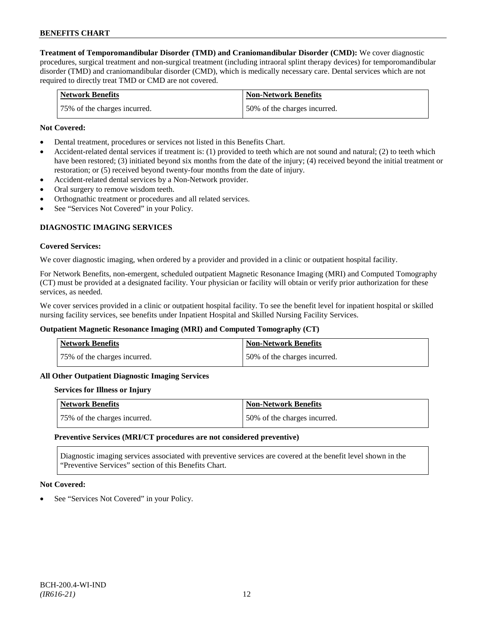**Treatment of Temporomandibular Disorder (TMD) and Craniomandibular Disorder (CMD):** We cover diagnostic procedures, surgical treatment and non-surgical treatment (including intraoral splint therapy devices) for temporomandibular disorder (TMD) and craniomandibular disorder (CMD), which is medically necessary care. Dental services which are not required to directly treat TMD or CMD are not covered.

| <b>Network Benefits</b>      | <b>Non-Network Benefits</b>   |
|------------------------------|-------------------------------|
| 75% of the charges incurred. | 150% of the charges incurred. |

### **Not Covered:**

- Dental treatment, procedures or services not listed in this Benefits Chart.
- Accident-related dental services if treatment is: (1) provided to teeth which are not sound and natural; (2) to teeth which have been restored; (3) initiated beyond six months from the date of the injury; (4) received beyond the initial treatment or restoration; or (5) received beyond twenty-four months from the date of injury.
- Accident-related dental services by a Non-Network provider.
- Oral surgery to remove wisdom teeth.
- Orthognathic treatment or procedures and all related services.
- See "Services Not Covered" in your Policy.

# **DIAGNOSTIC IMAGING SERVICES**

#### **Covered Services:**

We cover diagnostic imaging, when ordered by a provider and provided in a clinic or outpatient hospital facility.

For Network Benefits, non-emergent, scheduled outpatient Magnetic Resonance Imaging (MRI) and Computed Tomography (CT) must be provided at a designated facility. Your physician or facility will obtain or verify prior authorization for these services, as needed.

We cover services provided in a clinic or outpatient hospital facility. To see the benefit level for inpatient hospital or skilled nursing facility services, see benefits under Inpatient Hospital and Skilled Nursing Facility Services.

#### **Outpatient Magnetic Resonance Imaging (MRI) and Computed Tomography (CT)**

| <b>Network Benefits</b>      | <b>Non-Network Benefits</b>  |
|------------------------------|------------------------------|
| 75% of the charges incurred. | 50% of the charges incurred. |

#### **All Other Outpatient Diagnostic Imaging Services**

#### **Services for Illness or Injury**

| Network Benefits             | <b>Non-Network Benefits</b>  |
|------------------------------|------------------------------|
| 75% of the charges incurred. | 50% of the charges incurred. |

#### **Preventive Services (MRI/CT procedures are not considered preventive)**

Diagnostic imaging services associated with preventive services are covered at the benefit level shown in the "Preventive Services" section of this Benefits Chart.

#### **Not Covered:**

See "Services Not Covered" in your Policy.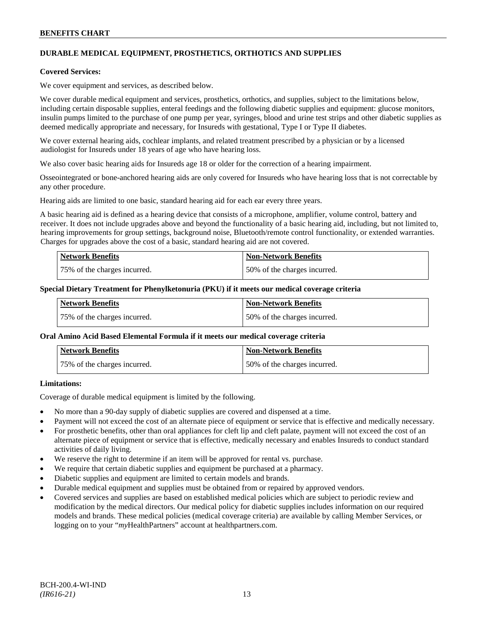# **DURABLE MEDICAL EQUIPMENT, PROSTHETICS, ORTHOTICS AND SUPPLIES**

#### **Covered Services:**

We cover equipment and services, as described below.

We cover durable medical equipment and services, prosthetics, orthotics, and supplies, subject to the limitations below, including certain disposable supplies, enteral feedings and the following diabetic supplies and equipment: glucose monitors, insulin pumps limited to the purchase of one pump per year, syringes, blood and urine test strips and other diabetic supplies as deemed medically appropriate and necessary, for Insureds with gestational, Type I or Type II diabetes.

We cover external hearing aids, cochlear implants, and related treatment prescribed by a physician or by a licensed audiologist for Insureds under 18 years of age who have hearing loss.

We also cover basic hearing aids for Insureds age 18 or older for the correction of a hearing impairment.

Osseointegrated or bone-anchored hearing aids are only covered for Insureds who have hearing loss that is not correctable by any other procedure.

Hearing aids are limited to one basic, standard hearing aid for each ear every three years.

A basic hearing aid is defined as a hearing device that consists of a microphone, amplifier, volume control, battery and receiver. It does not include upgrades above and beyond the functionality of a basic hearing aid, including, but not limited to, hearing improvements for group settings, background noise, Bluetooth/remote control functionality, or extended warranties. Charges for upgrades above the cost of a basic, standard hearing aid are not covered.

| <b>Network Benefits</b>      | <b>Non-Network Benefits</b>  |
|------------------------------|------------------------------|
| 75% of the charges incurred. | 50% of the charges incurred. |

#### **Special Dietary Treatment for Phenylketonuria (PKU) if it meets our medical coverage criteria**

| <b>Network Benefits</b>      | <b>Non-Network Benefits</b>  |
|------------------------------|------------------------------|
| 75% of the charges incurred. | 50% of the charges incurred. |

#### **Oral Amino Acid Based Elemental Formula if it meets our medical coverage criteria**

| <b>Network Benefits</b>      | <b>Non-Network Benefits</b>  |
|------------------------------|------------------------------|
| 75% of the charges incurred. | 50% of the charges incurred. |

### **Limitations:**

Coverage of durable medical equipment is limited by the following.

- No more than a 90-day supply of diabetic supplies are covered and dispensed at a time.
- Payment will not exceed the cost of an alternate piece of equipment or service that is effective and medically necessary.
- For prosthetic benefits, other than oral appliances for cleft lip and cleft palate, payment will not exceed the cost of an alternate piece of equipment or service that is effective, medically necessary and enables Insureds to conduct standard activities of daily living.
- We reserve the right to determine if an item will be approved for rental vs. purchase.
- We require that certain diabetic supplies and equipment be purchased at a pharmacy.
- Diabetic supplies and equipment are limited to certain models and brands.
- Durable medical equipment and supplies must be obtained from or repaired by approved vendors.
- Covered services and supplies are based on established medical policies which are subject to periodic review and modification by the medical directors. Our medical policy for diabetic supplies includes information on our required models and brands. These medical policies (medical coverage criteria) are available by calling Member Services, or logging on to your "*my*HealthPartners" account at [healthpartners.com.](http://www.healthpartners.com/)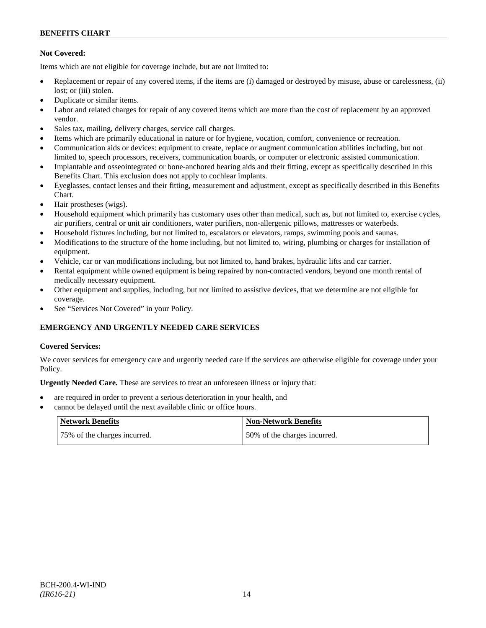# **Not Covered:**

Items which are not eligible for coverage include, but are not limited to:

- Replacement or repair of any covered items, if the items are (i) damaged or destroyed by misuse, abuse or carelessness, (ii) lost: or (iii) stolen.
- Duplicate or similar items.
- Labor and related charges for repair of any covered items which are more than the cost of replacement by an approved vendor.
- Sales tax, mailing, delivery charges, service call charges.
- Items which are primarily educational in nature or for hygiene, vocation, comfort, convenience or recreation.
- Communication aids or devices: equipment to create, replace or augment communication abilities including, but not limited to, speech processors, receivers, communication boards, or computer or electronic assisted communication.
- Implantable and osseointegrated or bone-anchored hearing aids and their fitting, except as specifically described in this Benefits Chart. This exclusion does not apply to cochlear implants.
- Eyeglasses, contact lenses and their fitting, measurement and adjustment, except as specifically described in this Benefits Chart.
- Hair prostheses (wigs).
- Household equipment which primarily has customary uses other than medical, such as, but not limited to, exercise cycles, air purifiers, central or unit air conditioners, water purifiers, non-allergenic pillows, mattresses or waterbeds.
- Household fixtures including, but not limited to, escalators or elevators, ramps, swimming pools and saunas.
- Modifications to the structure of the home including, but not limited to, wiring, plumbing or charges for installation of equipment.
- Vehicle, car or van modifications including, but not limited to, hand brakes, hydraulic lifts and car carrier.
- Rental equipment while owned equipment is being repaired by non-contracted vendors, beyond one month rental of medically necessary equipment.
- Other equipment and supplies, including, but not limited to assistive devices, that we determine are not eligible for coverage.
- See "Services Not Covered" in your Policy.

# **EMERGENCY AND URGENTLY NEEDED CARE SERVICES**

# **Covered Services:**

We cover services for emergency care and urgently needed care if the services are otherwise eligible for coverage under your Policy.

**Urgently Needed Care.** These are services to treat an unforeseen illness or injury that:

- are required in order to prevent a serious deterioration in your health, and
- cannot be delayed until the next available clinic or office hours.

| Network Benefits             | <b>Non-Network Benefits</b>  |
|------------------------------|------------------------------|
| 75% of the charges incurred. | 50% of the charges incurred. |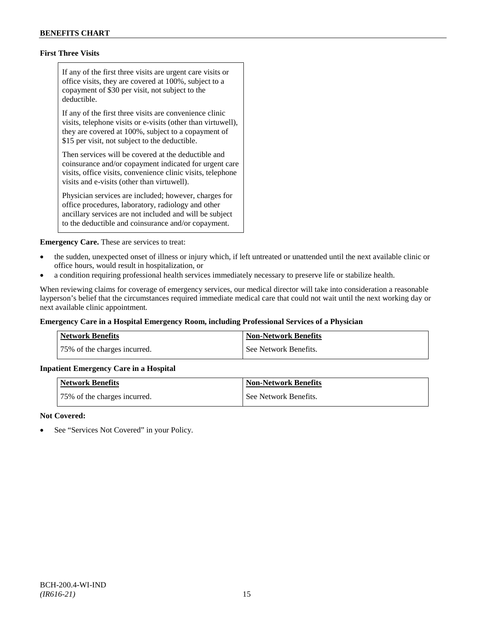# **First Three Visits**

If any of the first three visits are urgent care visits or office visits, they are covered at 100%, subject to a copayment of \$30 per visit, not subject to the deductible.

If any of the first three visits are convenience clinic visits, telephone visits or e-visits (other than virtuwell), they are covered at 100%, subject to a copayment of \$15 per visit, not subject to the deductible.

Then services will be covered at the deductible and coinsurance and/or copayment indicated for urgent care visits, office visits, convenience clinic visits, telephone visits and e-visits (other than virtuwell).

Physician services are included; however, charges for office procedures, laboratory, radiology and other ancillary services are not included and will be subject to the deductible and coinsurance and/or copayment.

**Emergency Care.** These are services to treat:

- the sudden, unexpected onset of illness or injury which, if left untreated or unattended until the next available clinic or office hours, would result in hospitalization, or
- a condition requiring professional health services immediately necessary to preserve life or stabilize health.

When reviewing claims for coverage of emergency services, our medical director will take into consideration a reasonable layperson's belief that the circumstances required immediate medical care that could not wait until the next working day or next available clinic appointment.

# **Emergency Care in a Hospital Emergency Room, including Professional Services of a Physician**

| Network Benefits             | <b>Non-Network Benefits</b> |
|------------------------------|-----------------------------|
| 75% of the charges incurred. | See Network Benefits.       |

# **Inpatient Emergency Care in a Hospital**

| <b>Network Benefits</b>      | <b>Non-Network Benefits</b> |
|------------------------------|-----------------------------|
| 75% of the charges incurred. | See Network Benefits.       |

#### **Not Covered:**

See "Services Not Covered" in your Policy.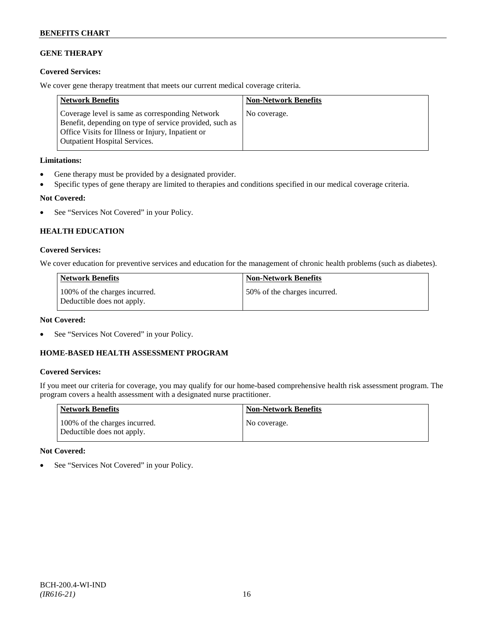# **GENE THERAPY**

# **Covered Services:**

We cover gene therapy treatment that meets our current medical coverage criteria.

| <b>Network Benefits</b>                                                                                                                                                                          | <b>Non-Network Benefits</b> |
|--------------------------------------------------------------------------------------------------------------------------------------------------------------------------------------------------|-----------------------------|
| Coverage level is same as corresponding Network<br>Benefit, depending on type of service provided, such as<br>Office Visits for Illness or Injury, Inpatient or<br>Outpatient Hospital Services. | No coverage.                |

# **Limitations:**

- Gene therapy must be provided by a designated provider.
- Specific types of gene therapy are limited to therapies and conditions specified in our medical coverage criteria.

# **Not Covered:**

• See "Services Not Covered" in your Policy.

# **HEALTH EDUCATION**

# **Covered Services:**

We cover education for preventive services and education for the management of chronic health problems (such as diabetes).

| <b>Network Benefits</b>                                     | Non-Network Benefits         |
|-------------------------------------------------------------|------------------------------|
| 100% of the charges incurred.<br>Deductible does not apply. | 50% of the charges incurred. |

# **Not Covered:**

See "Services Not Covered" in your Policy.

# **HOME-BASED HEALTH ASSESSMENT PROGRAM**

# **Covered Services:**

If you meet our criteria for coverage, you may qualify for our home-based comprehensive health risk assessment program. The program covers a health assessment with a designated nurse practitioner.

| <b>Network Benefits</b>                                     | <b>Non-Network Benefits</b> |
|-------------------------------------------------------------|-----------------------------|
| 100% of the charges incurred.<br>Deductible does not apply. | No coverage.                |

# **Not Covered:**

• See "Services Not Covered" in your Policy.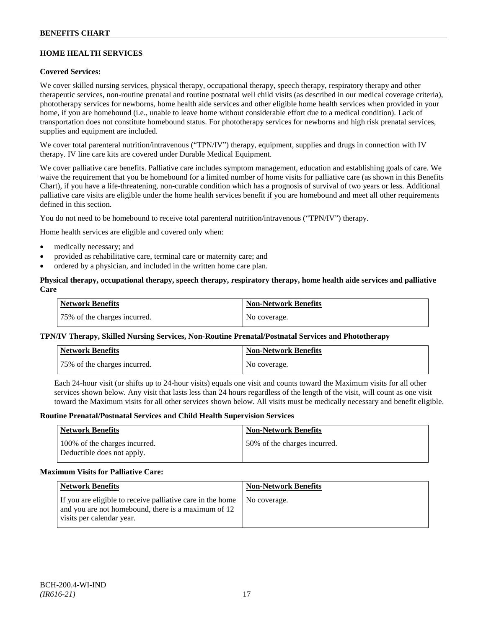# **HOME HEALTH SERVICES**

# **Covered Services:**

We cover skilled nursing services, physical therapy, occupational therapy, speech therapy, respiratory therapy and other therapeutic services, non-routine prenatal and routine postnatal well child visits (as described in our medical coverage criteria), phototherapy services for newborns, home health aide services and other eligible home health services when provided in your home, if you are homebound (i.e., unable to leave home without considerable effort due to a medical condition). Lack of transportation does not constitute homebound status. For phototherapy services for newborns and high risk prenatal services, supplies and equipment are included.

We cover total parenteral nutrition/intravenous ("TPN/IV") therapy, equipment, supplies and drugs in connection with IV therapy. IV line care kits are covered under Durable Medical Equipment.

We cover palliative care benefits. Palliative care includes symptom management, education and establishing goals of care. We waive the requirement that you be homebound for a limited number of home visits for palliative care (as shown in this Benefits Chart), if you have a life-threatening, non-curable condition which has a prognosis of survival of two years or less. Additional palliative care visits are eligible under the home health services benefit if you are homebound and meet all other requirements defined in this section.

You do not need to be homebound to receive total parenteral nutrition/intravenous ("TPN/IV") therapy.

Home health services are eligible and covered only when:

- medically necessary; and
- provided as rehabilitative care, terminal care or maternity care; and
- ordered by a physician, and included in the written home care plan.

### **Physical therapy, occupational therapy, speech therapy, respiratory therapy, home health aide services and palliative Care**

| <b>Network Benefits</b>      | <b>Non-Network Benefits</b> |
|------------------------------|-----------------------------|
| 75% of the charges incurred. | No coverage.                |

# **TPN/IV Therapy, Skilled Nursing Services, Non-Routine Prenatal/Postnatal Services and Phototherapy**

| Network Benefits             | <b>Non-Network Benefits</b> |
|------------------------------|-----------------------------|
| 75% of the charges incurred. | No coverage.                |

Each 24-hour visit (or shifts up to 24-hour visits) equals one visit and counts toward the Maximum visits for all other services shown below. Any visit that lasts less than 24 hours regardless of the length of the visit, will count as one visit toward the Maximum visits for all other services shown below. All visits must be medically necessary and benefit eligible.

#### **Routine Prenatal/Postnatal Services and Child Health Supervision Services**

| <b>Network Benefits</b>                                     | <b>Non-Network Benefits</b>  |
|-------------------------------------------------------------|------------------------------|
| 100% of the charges incurred.<br>Deductible does not apply. | 50% of the charges incurred. |

#### **Maximum Visits for Palliative Care:**

| <b>Network Benefits</b>                                                                                                                        | <b>Non-Network Benefits</b> |
|------------------------------------------------------------------------------------------------------------------------------------------------|-----------------------------|
| If you are eligible to receive palliative care in the home<br>and you are not homebound, there is a maximum of 12<br>visits per calendar year. | No coverage.                |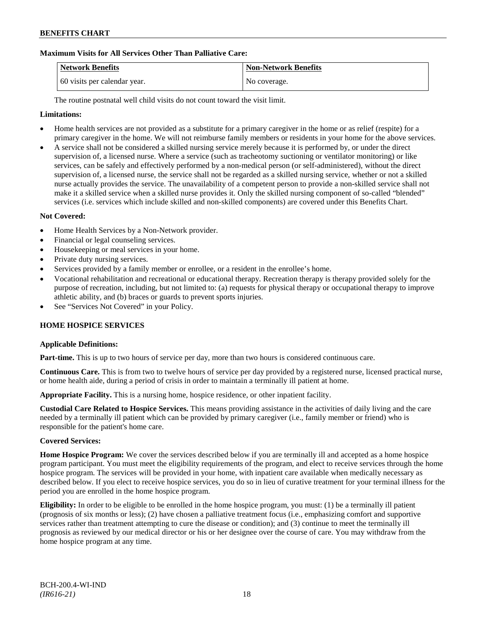# **Maximum Visits for All Services Other Than Palliative Care:**

| Network Benefits             | <b>Non-Network Benefits</b> |
|------------------------------|-----------------------------|
| 60 visits per calendar year. | No coverage.                |

The routine postnatal well child visits do not count toward the visit limit.

# **Limitations:**

- Home health services are not provided as a substitute for a primary caregiver in the home or as relief (respite) for a primary caregiver in the home. We will not reimburse family members or residents in your home for the above services.
- A service shall not be considered a skilled nursing service merely because it is performed by, or under the direct supervision of, a licensed nurse. Where a service (such as tracheotomy suctioning or ventilator monitoring) or like services, can be safely and effectively performed by a non-medical person (or self-administered), without the direct supervision of, a licensed nurse, the service shall not be regarded as a skilled nursing service, whether or not a skilled nurse actually provides the service. The unavailability of a competent person to provide a non-skilled service shall not make it a skilled service when a skilled nurse provides it. Only the skilled nursing component of so-called "blended" services (i.e. services which include skilled and non-skilled components) are covered under this Benefits Chart.

# **Not Covered:**

- Home Health Services by a Non-Network provider.
- Financial or legal counseling services.
- Housekeeping or meal services in your home.
- Private duty nursing services.
- Services provided by a family member or enrollee, or a resident in the enrollee's home.
- Vocational rehabilitation and recreational or educational therapy. Recreation therapy is therapy provided solely for the purpose of recreation, including, but not limited to: (a) requests for physical therapy or occupational therapy to improve athletic ability, and (b) braces or guards to prevent sports injuries.
- See "Services Not Covered" in your Policy.

# **HOME HOSPICE SERVICES**

#### **Applicable Definitions:**

**Part-time.** This is up to two hours of service per day, more than two hours is considered continuous care.

**Continuous Care.** This is from two to twelve hours of service per day provided by a registered nurse, licensed practical nurse, or home health aide, during a period of crisis in order to maintain a terminally ill patient at home.

**Appropriate Facility.** This is a nursing home, hospice residence, or other inpatient facility.

**Custodial Care Related to Hospice Services.** This means providing assistance in the activities of daily living and the care needed by a terminally ill patient which can be provided by primary caregiver (i.e., family member or friend) who is responsible for the patient's home care.

# **Covered Services:**

**Home Hospice Program:** We cover the services described below if you are terminally ill and accepted as a home hospice program participant. You must meet the eligibility requirements of the program, and elect to receive services through the home hospice program. The services will be provided in your home, with inpatient care available when medically necessary as described below. If you elect to receive hospice services, you do so in lieu of curative treatment for your terminal illness for the period you are enrolled in the home hospice program.

**Eligibility:** In order to be eligible to be enrolled in the home hospice program, you must: (1) be a terminally ill patient (prognosis of six months or less); (2) have chosen a palliative treatment focus (i.e., emphasizing comfort and supportive services rather than treatment attempting to cure the disease or condition); and (3) continue to meet the terminally ill prognosis as reviewed by our medical director or his or her designee over the course of care. You may withdraw from the home hospice program at any time.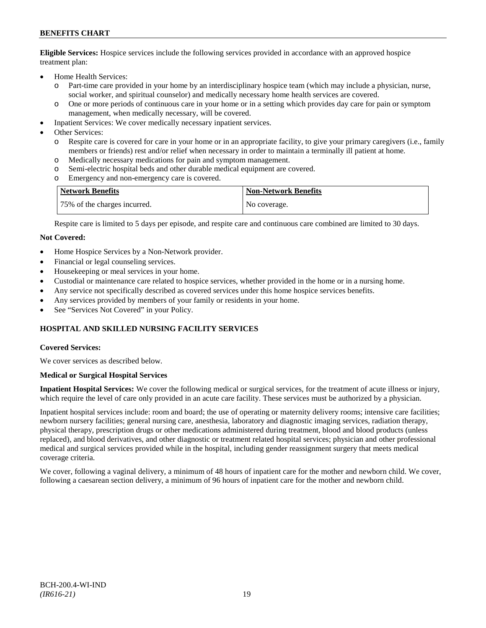**Eligible Services:** Hospice services include the following services provided in accordance with an approved hospice treatment plan:

- Home Health Services:
	- o Part-time care provided in your home by an interdisciplinary hospice team (which may include a physician, nurse, social worker, and spiritual counselor) and medically necessary home health services are covered.
	- o One or more periods of continuous care in your home or in a setting which provides day care for pain or symptom management, when medically necessary, will be covered.
- Inpatient Services: We cover medically necessary inpatient services.
- Other Services:
	- o Respite care is covered for care in your home or in an appropriate facility, to give your primary caregivers (i.e., family members or friends) rest and/or relief when necessary in order to maintain a terminally ill patient at home*.*
	- o Medically necessary medications for pain and symptom management.
	- o Semi-electric hospital beds and other durable medical equipment are covered.
	- o Emergency and non-emergency care is covered.

| <b>Network Benefits</b>      | <b>Non-Network Benefits</b> |
|------------------------------|-----------------------------|
| 75% of the charges incurred. | No coverage.                |

Respite care is limited to 5 days per episode, and respite care and continuous care combined are limited to 30 days.

#### **Not Covered:**

- Home Hospice Services by a Non-Network provider.
- Financial or legal counseling services.
- Housekeeping or meal services in your home.
- Custodial or maintenance care related to hospice services, whether provided in the home or in a nursing home.
- Any service not specifically described as covered services under this home hospice services benefits.
- Any services provided by members of your family or residents in your home.
- See "Services Not Covered" in your Policy.

# **HOSPITAL AND SKILLED NURSING FACILITY SERVICES**

#### **Covered Services:**

We cover services as described below.

#### **Medical or Surgical Hospital Services**

**Inpatient Hospital Services:** We cover the following medical or surgical services, for the treatment of acute illness or injury, which require the level of care only provided in an acute care facility. These services must be authorized by a physician.

Inpatient hospital services include: room and board; the use of operating or maternity delivery rooms; intensive care facilities; newborn nursery facilities; general nursing care, anesthesia, laboratory and diagnostic imaging services, radiation therapy, physical therapy, prescription drugs or other medications administered during treatment, blood and blood products (unless replaced), and blood derivatives, and other diagnostic or treatment related hospital services; physician and other professional medical and surgical services provided while in the hospital, including gender reassignment surgery that meets medical coverage criteria.

We cover, following a vaginal delivery, a minimum of 48 hours of inpatient care for the mother and newborn child. We cover, following a caesarean section delivery, a minimum of 96 hours of inpatient care for the mother and newborn child.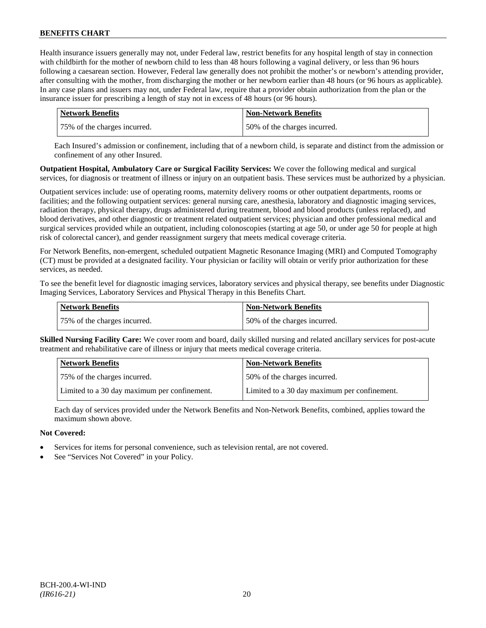Health insurance issuers generally may not, under Federal law, restrict benefits for any hospital length of stay in connection with childbirth for the mother of newborn child to less than 48 hours following a vaginal delivery, or less than 96 hours following a caesarean section. However, Federal law generally does not prohibit the mother's or newborn's attending provider, after consulting with the mother, from discharging the mother or her newborn earlier than 48 hours (or 96 hours as applicable). In any case plans and issuers may not, under Federal law, require that a provider obtain authorization from the plan or the insurance issuer for prescribing a length of stay not in excess of 48 hours (or 96 hours).

| Network Benefits             | <b>Non-Network Benefits</b>  |
|------------------------------|------------------------------|
| 75% of the charges incurred. | 50% of the charges incurred. |

Each Insured's admission or confinement, including that of a newborn child, is separate and distinct from the admission or confinement of any other Insured.

**Outpatient Hospital, Ambulatory Care or Surgical Facility Services:** We cover the following medical and surgical services, for diagnosis or treatment of illness or injury on an outpatient basis. These services must be authorized by a physician.

Outpatient services include: use of operating rooms, maternity delivery rooms or other outpatient departments, rooms or facilities; and the following outpatient services: general nursing care, anesthesia, laboratory and diagnostic imaging services, radiation therapy, physical therapy, drugs administered during treatment, blood and blood products (unless replaced), and blood derivatives, and other diagnostic or treatment related outpatient services; physician and other professional medical and surgical services provided while an outpatient, including colonoscopies (starting at age 50, or under age 50 for people at high risk of colorectal cancer), and gender reassignment surgery that meets medical coverage criteria.

For Network Benefits, non-emergent, scheduled outpatient Magnetic Resonance Imaging (MRI) and Computed Tomography (CT) must be provided at a designated facility. Your physician or facility will obtain or verify prior authorization for these services, as needed.

To see the benefit level for diagnostic imaging services, laboratory services and physical therapy, see benefits under Diagnostic Imaging Services, Laboratory Services and Physical Therapy in this Benefits Chart.

| <b>Network Benefits</b>      | <b>Non-Network Benefits</b>  |
|------------------------------|------------------------------|
| 75% of the charges incurred. | 50% of the charges incurred. |

**Skilled Nursing Facility Care:** We cover room and board, daily skilled nursing and related ancillary services for post-acute treatment and rehabilitative care of illness or injury that meets medical coverage criteria.

| <b>Network Benefits</b>                      | <b>Non-Network Benefits</b>                  |
|----------------------------------------------|----------------------------------------------|
| 75% of the charges incurred.                 | 50% of the charges incurred.                 |
| Limited to a 30 day maximum per confinement. | Limited to a 30 day maximum per confinement. |

Each day of services provided under the Network Benefits and Non-Network Benefits, combined, applies toward the maximum shown above.

# **Not Covered:**

- Services for items for personal convenience, such as television rental, are not covered.
- See "Services Not Covered" in your Policy.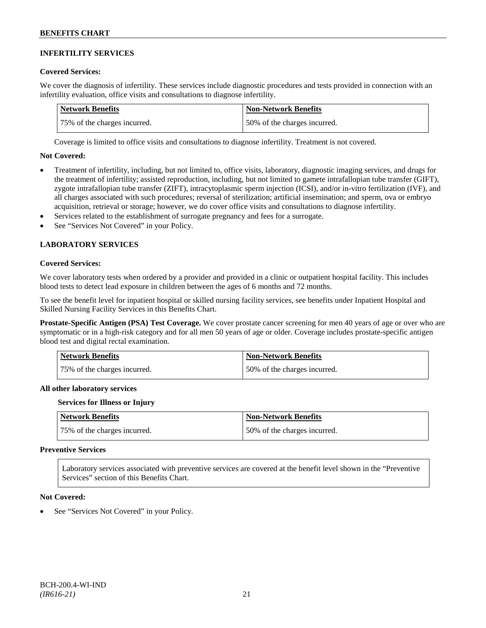# **INFERTILITY SERVICES**

#### **Covered Services:**

We cover the diagnosis of infertility. These services include diagnostic procedures and tests provided in connection with an infertility evaluation, office visits and consultations to diagnose infertility.

| Network Benefits             | <b>Non-Network Benefits</b>  |
|------------------------------|------------------------------|
| 75% of the charges incurred. | 50% of the charges incurred. |

Coverage is limited to office visits and consultations to diagnose infertility. Treatment is not covered.

#### **Not Covered:**

- Treatment of infertility, including, but not limited to, office visits, laboratory, diagnostic imaging services, and drugs for the treatment of infertility; assisted reproduction, including, but not limited to gamete intrafallopian tube transfer (GIFT), zygote intrafallopian tube transfer (ZIFT), intracytoplasmic sperm injection (ICSI), and/or in-vitro fertilization (IVF), and all charges associated with such procedures; reversal of sterilization; artificial insemination; and sperm, ova or embryo acquisition, retrieval or storage; however, we do cover office visits and consultations to diagnose infertility.
- Services related to the establishment of surrogate pregnancy and fees for a surrogate.
- See "Services Not Covered" in your Policy.

# **LABORATORY SERVICES**

### **Covered Services:**

We cover laboratory tests when ordered by a provider and provided in a clinic or outpatient hospital facility. This includes blood tests to detect lead exposure in children between the ages of 6 months and 72 months.

To see the benefit level for inpatient hospital or skilled nursing facility services, see benefits under Inpatient Hospital and Skilled Nursing Facility Services in this Benefits Chart.

**Prostate-Specific Antigen (PSA) Test Coverage.** We cover prostate cancer screening for men 40 years of age or over who are symptomatic or in a high-risk category and for all men 50 years of age or older. Coverage includes prostate-specific antigen blood test and digital rectal examination.

| <b>Network Benefits</b>      | <b>Non-Network Benefits</b>  |
|------------------------------|------------------------------|
| 75% of the charges incurred. | 50% of the charges incurred. |

#### **All other laboratory services**

#### **Services for Illness or Injury**

| <b>Network Benefits</b>      | <b>Non-Network Benefits</b>  |
|------------------------------|------------------------------|
| 75% of the charges incurred. | 50% of the charges incurred. |

#### **Preventive Services**

Laboratory services associated with preventive services are covered at the benefit level shown in the "Preventive Services" section of this Benefits Chart.

#### **Not Covered:**

See "Services Not Covered" in your Policy.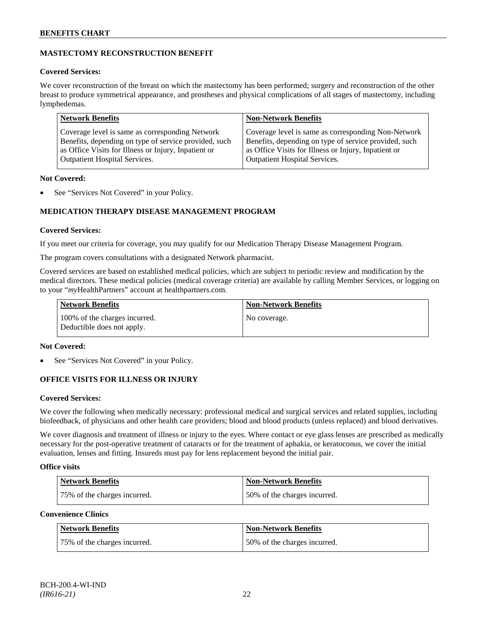# **MASTECTOMY RECONSTRUCTION BENEFIT**

# **Covered Services:**

We cover reconstruction of the breast on which the mastectomy has been performed; surgery and reconstruction of the other breast to produce symmetrical appearance, and prostheses and physical complications of all stages of mastectomy, including lymphedemas.

| <b>Network Benefits</b>                               | <b>Non-Network Benefits</b>                           |
|-------------------------------------------------------|-------------------------------------------------------|
| Coverage level is same as corresponding Network       | Coverage level is same as corresponding Non-Network   |
| Benefits, depending on type of service provided, such | Benefits, depending on type of service provided, such |
| as Office Visits for Illness or Injury, Inpatient or  | as Office Visits for Illness or Injury, Inpatient or  |
| <b>Outpatient Hospital Services.</b>                  | Outpatient Hospital Services.                         |

# **Not Covered:**

See "Services Not Covered" in your Policy.

# **MEDICATION THERAPY DISEASE MANAGEMENT PROGRAM**

# **Covered Services:**

If you meet our criteria for coverage, you may qualify for our Medication Therapy Disease Management Program.

The program covers consultations with a designated Network pharmacist.

Covered services are based on established medical policies, which are subject to periodic review and modification by the medical directors. These medical policies (medical coverage criteria) are available by calling Member Services, or logging on to your "*my*HealthPartners" account at [healthpartners.com.](http://www.healthpartners.com/)

| <b>Network Benefits</b>                                     | <b>Non-Network Benefits</b> |
|-------------------------------------------------------------|-----------------------------|
| 100% of the charges incurred.<br>Deductible does not apply. | No coverage.                |

# **Not Covered:**

See "Services Not Covered" in your Policy.

# **OFFICE VISITS FOR ILLNESS OR INJURY**

# **Covered Services:**

We cover the following when medically necessary: professional medical and surgical services and related supplies, including biofeedback, of physicians and other health care providers; blood and blood products (unless replaced) and blood derivatives.

We cover diagnosis and treatment of illness or injury to the eyes. Where contact or eye glass lenses are prescribed as medically necessary for the post-operative treatment of cataracts or for the treatment of aphakia, or keratoconus, we cover the initial evaluation, lenses and fitting. Insureds must pay for lens replacement beyond the initial pair.

# **Office visits**

| Network Benefits             | <b>Non-Network Benefits</b>  |
|------------------------------|------------------------------|
| 75% of the charges incurred. | 50% of the charges incurred. |

# **Convenience Clinics**

| <b>Network Benefits</b>      | <b>Non-Network Benefits</b>  |
|------------------------------|------------------------------|
| 75% of the charges incurred. | 50% of the charges incurred. |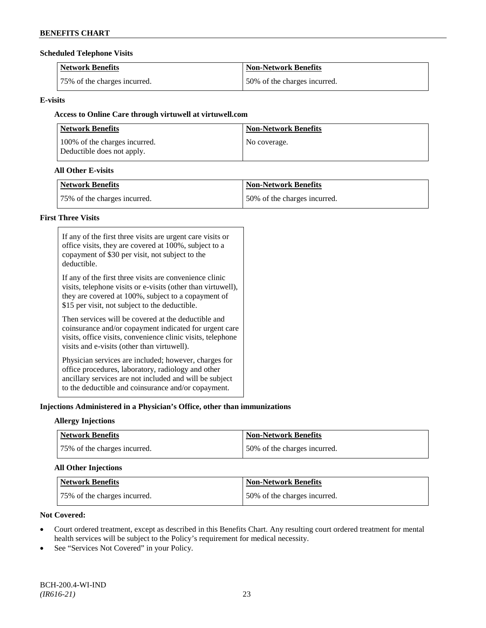### **Scheduled Telephone Visits**

| <b>Network Benefits</b>      | <b>Non-Network Benefits</b>  |
|------------------------------|------------------------------|
| 75% of the charges incurred. | 50% of the charges incurred. |

# **E-visits**

# **Access to Online Care through virtuwell a[t virtuwell.com](http://www.virtuwell.com/)**

| <b>Network Benefits</b>                                     | <b>Non-Network Benefits</b> |
|-------------------------------------------------------------|-----------------------------|
| 100% of the charges incurred.<br>Deductible does not apply. | No coverage.                |

# **All Other E-visits**

| Network Benefits             | <b>Non-Network Benefits</b>  |
|------------------------------|------------------------------|
| 75% of the charges incurred. | 50% of the charges incurred. |

# **First Three Visits**

| If any of the first three visits are urgent care visits or<br>office visits, they are covered at 100%, subject to a<br>copayment of \$30 per visit, not subject to the<br>deductible.                                            |
|----------------------------------------------------------------------------------------------------------------------------------------------------------------------------------------------------------------------------------|
| If any of the first three visits are convenience clinic<br>visits, telephone visits or e-visits (other than virtuwell),<br>they are covered at 100%, subject to a copayment of<br>\$15 per visit, not subject to the deductible. |
| Then services will be covered at the deductible and<br>coinsurance and/or copayment indicated for urgent care<br>visits, office visits, convenience clinic visits, telephone<br>visits and e-visits (other than virtuwell).      |
| Physician services are included; however, charges for<br>office procedures, laboratory, radiology and other<br>ancillary services are not included and will be subject<br>to the deductible and coinsurance and/or copayment.    |

# **Injections Administered in a Physician's Office, other than immunizations**

# **Allergy Injections**

| Network Benefits             | Non-Network Benefits         |
|------------------------------|------------------------------|
| 75% of the charges incurred. | 50% of the charges incurred. |

# **All Other Injections**

| Network Benefits             | Non-Network Benefits         |
|------------------------------|------------------------------|
| 75% of the charges incurred. | 50% of the charges incurred. |

# **Not Covered:**

- Court ordered treatment, except as described in this Benefits Chart. Any resulting court ordered treatment for mental health services will be subject to the Policy's requirement for medical necessity.
- See "Services Not Covered" in your Policy.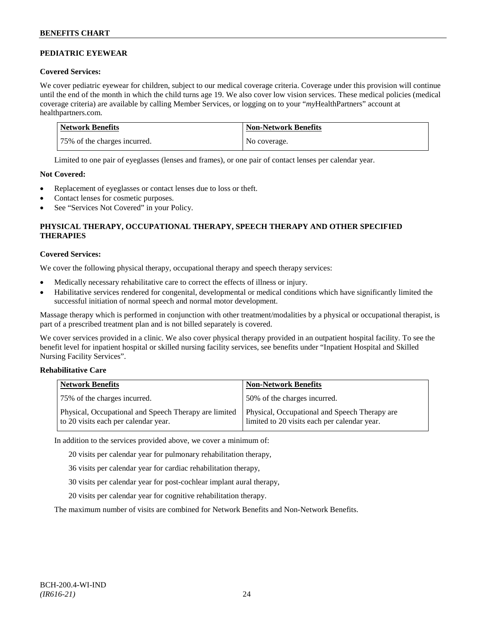# **PEDIATRIC EYEWEAR**

# **Covered Services:**

We cover pediatric eyewear for children, subject to our medical coverage criteria. Coverage under this provision will continue until the end of the month in which the child turns age 19. We also cover low vision services. These medical policies (medical coverage criteria) are available by calling Member Services, or logging on to your "*my*HealthPartners" account at [healthpartners.com.](http://www.healthpartners.com/)

| Network Benefits             | Non-Network Benefits |
|------------------------------|----------------------|
| 75% of the charges incurred. | No coverage.         |

Limited to one pair of eyeglasses (lenses and frames), or one pair of contact lenses per calendar year.

# **Not Covered:**

- Replacement of eyeglasses or contact lenses due to loss or theft.
- Contact lenses for cosmetic purposes.
- See "Services Not Covered" in your Policy.

# **PHYSICAL THERAPY, OCCUPATIONAL THERAPY, SPEECH THERAPY AND OTHER SPECIFIED THERAPIES**

# **Covered Services:**

We cover the following physical therapy, occupational therapy and speech therapy services:

- Medically necessary rehabilitative care to correct the effects of illness or injury.
- Habilitative services rendered for congenital, developmental or medical conditions which have significantly limited the successful initiation of normal speech and normal motor development.

Massage therapy which is performed in conjunction with other treatment/modalities by a physical or occupational therapist, is part of a prescribed treatment plan and is not billed separately is covered.

We cover services provided in a clinic. We also cover physical therapy provided in an outpatient hospital facility. To see the benefit level for inpatient hospital or skilled nursing facility services, see benefits under "Inpatient Hospital and Skilled Nursing Facility Services".

# **Rehabilitative Care**

| <b>Network Benefits</b>                                                                       | <b>Non-Network Benefits</b>                                                                   |
|-----------------------------------------------------------------------------------------------|-----------------------------------------------------------------------------------------------|
| 75% of the charges incurred.                                                                  | 50% of the charges incurred.                                                                  |
| Physical, Occupational and Speech Therapy are limited<br>to 20 visits each per calendar year. | Physical, Occupational and Speech Therapy are<br>limited to 20 visits each per calendar year. |

In addition to the services provided above, we cover a minimum of:

20 visits per calendar year for pulmonary rehabilitation therapy,

- 36 visits per calendar year for cardiac rehabilitation therapy,
- 30 visits per calendar year for post-cochlear implant aural therapy,
- 20 visits per calendar year for cognitive rehabilitation therapy.

The maximum number of visits are combined for Network Benefits and Non-Network Benefits.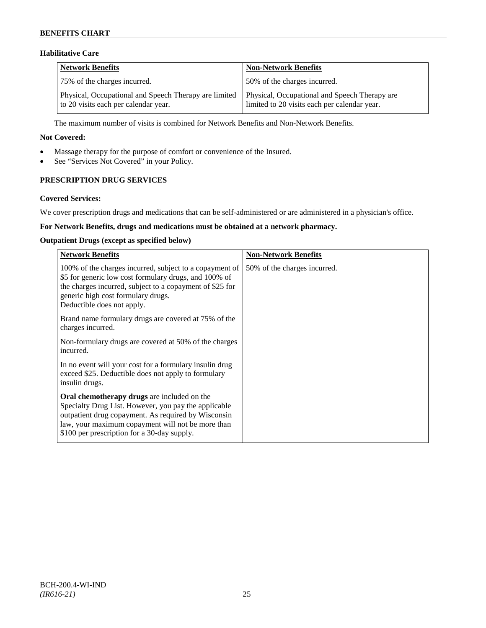# **Habilitative Care**

| <b>Network Benefits</b>                                                                       | <b>Non-Network Benefits</b>                                                                   |
|-----------------------------------------------------------------------------------------------|-----------------------------------------------------------------------------------------------|
| 75% of the charges incurred.                                                                  | 50% of the charges incurred.                                                                  |
| Physical, Occupational and Speech Therapy are limited<br>to 20 visits each per calendar year. | Physical, Occupational and Speech Therapy are<br>limited to 20 visits each per calendar year. |

The maximum number of visits is combined for Network Benefits and Non-Network Benefits.

### **Not Covered:**

- Massage therapy for the purpose of comfort or convenience of the Insured.
- See "Services Not Covered" in your Policy.

# **PRESCRIPTION DRUG SERVICES**

### **Covered Services:**

We cover prescription drugs and medications that can be self-administered or are administered in a physician's office.

# **For Network Benefits, drugs and medications must be obtained at a network pharmacy.**

### **Outpatient Drugs (except as specified below)**

| <b>Network Benefits</b>                                                                                                                                                                                                                                               | <b>Non-Network Benefits</b>  |
|-----------------------------------------------------------------------------------------------------------------------------------------------------------------------------------------------------------------------------------------------------------------------|------------------------------|
| 100% of the charges incurred, subject to a copayment of<br>\$5 for generic low cost formulary drugs, and 100% of<br>the charges incurred, subject to a copayment of \$25 for<br>generic high cost formulary drugs.<br>Deductible does not apply.                      | 50% of the charges incurred. |
| Brand name formulary drugs are covered at 75% of the<br>charges incurred.                                                                                                                                                                                             |                              |
| Non-formulary drugs are covered at 50% of the charges<br>incurred.                                                                                                                                                                                                    |                              |
| In no event will your cost for a formulary insulin drug<br>exceed \$25. Deductible does not apply to formulary<br>insulin drugs.                                                                                                                                      |                              |
| <b>Oral chemotherapy drugs</b> are included on the<br>Specialty Drug List. However, you pay the applicable<br>outpatient drug copayment. As required by Wisconsin<br>law, your maximum copayment will not be more than<br>\$100 per prescription for a 30-day supply. |                              |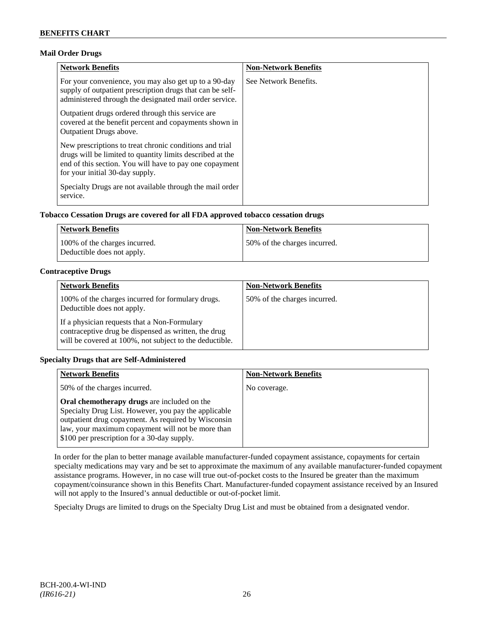# **Mail Order Drugs**

| <b>Network Benefits</b>                                                                                                                                                                                            | <b>Non-Network Benefits</b> |
|--------------------------------------------------------------------------------------------------------------------------------------------------------------------------------------------------------------------|-----------------------------|
| For your convenience, you may also get up to a 90-day<br>supply of outpatient prescription drugs that can be self-<br>administered through the designated mail order service.                                      | See Network Benefits.       |
| Outpatient drugs ordered through this service are.<br>covered at the benefit percent and copayments shown in<br><b>Outpatient Drugs above.</b>                                                                     |                             |
| New prescriptions to treat chronic conditions and trial<br>drugs will be limited to quantity limits described at the<br>end of this section. You will have to pay one copayment<br>for your initial 30-day supply. |                             |
| Specialty Drugs are not available through the mail order<br>service.                                                                                                                                               |                             |

# **Tobacco Cessation Drugs are covered for all FDA approved tobacco cessation drugs**

| Network Benefits                                            | <b>Non-Network Benefits</b>  |
|-------------------------------------------------------------|------------------------------|
| 100% of the charges incurred.<br>Deductible does not apply. | 50% of the charges incurred. |

# **Contraceptive Drugs**

| <b>Network Benefits</b>                                                                                                                                         | <b>Non-Network Benefits</b>  |
|-----------------------------------------------------------------------------------------------------------------------------------------------------------------|------------------------------|
| 100% of the charges incurred for formulary drugs.<br>Deductible does not apply.                                                                                 | 50% of the charges incurred. |
| If a physician requests that a Non-Formulary<br>contraceptive drug be dispensed as written, the drug<br>will be covered at 100%, not subject to the deductible. |                              |

# **Specialty Drugs that are Self-Administered**

| <b>Network Benefits</b>                                                                                                                                                                                                                                               | <b>Non-Network Benefits</b> |
|-----------------------------------------------------------------------------------------------------------------------------------------------------------------------------------------------------------------------------------------------------------------------|-----------------------------|
| 50% of the charges incurred.                                                                                                                                                                                                                                          | No coverage.                |
| <b>Oral chemotherapy drugs</b> are included on the<br>Specialty Drug List. However, you pay the applicable<br>outpatient drug copayment. As required by Wisconsin<br>law, your maximum copayment will not be more than<br>\$100 per prescription for a 30-day supply. |                             |

In order for the plan to better manage available manufacturer-funded copayment assistance, copayments for certain specialty medications may vary and be set to approximate the maximum of any available manufacturer-funded copayment assistance programs. However, in no case will true out-of-pocket costs to the Insured be greater than the maximum copayment/coinsurance shown in this Benefits Chart. Manufacturer-funded copayment assistance received by an Insured will not apply to the Insured's annual deductible or out-of-pocket limit.

Specialty Drugs are limited to drugs on the Specialty Drug List and must be obtained from a designated vendor.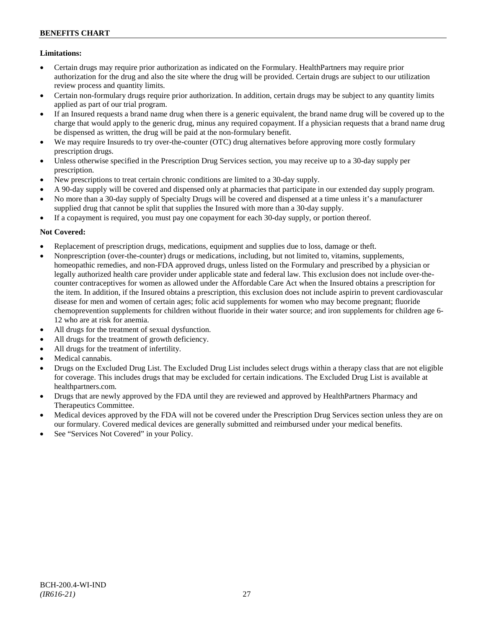# **Limitations:**

- Certain drugs may require prior authorization as indicated on the Formulary. HealthPartners may require prior authorization for the drug and also the site where the drug will be provided. Certain drugs are subject to our utilization review process and quantity limits.
- Certain non-formulary drugs require prior authorization. In addition, certain drugs may be subject to any quantity limits applied as part of our trial program.
- If an Insured requests a brand name drug when there is a generic equivalent, the brand name drug will be covered up to the charge that would apply to the generic drug, minus any required copayment. If a physician requests that a brand name drug be dispensed as written, the drug will be paid at the non-formulary benefit.
- We may require Insureds to try over-the-counter (OTC) drug alternatives before approving more costly formulary prescription drugs.
- Unless otherwise specified in the Prescription Drug Services section, you may receive up to a 30-day supply per prescription.
- New prescriptions to treat certain chronic conditions are limited to a 30-day supply.
- A 90-day supply will be covered and dispensed only at pharmacies that participate in our extended day supply program.
- No more than a 30-day supply of Specialty Drugs will be covered and dispensed at a time unless it's a manufacturer supplied drug that cannot be split that supplies the Insured with more than a 30-day supply.
- If a copayment is required, you must pay one copayment for each 30-day supply, or portion thereof.

# **Not Covered:**

- Replacement of prescription drugs, medications, equipment and supplies due to loss, damage or theft.
- Nonprescription (over-the-counter) drugs or medications, including, but not limited to, vitamins, supplements, homeopathic remedies, and non-FDA approved drugs, unless listed on the Formulary and prescribed by a physician or legally authorized health care provider under applicable state and federal law. This exclusion does not include over-thecounter contraceptives for women as allowed under the Affordable Care Act when the Insured obtains a prescription for the item. In addition, if the Insured obtains a prescription, this exclusion does not include aspirin to prevent cardiovascular disease for men and women of certain ages; folic acid supplements for women who may become pregnant; fluoride chemoprevention supplements for children without fluoride in their water source; and iron supplements for children age 6- 12 who are at risk for anemia.
- All drugs for the treatment of sexual dysfunction.
- All drugs for the treatment of growth deficiency.
- All drugs for the treatment of infertility.
- Medical cannabis.
- Drugs on the Excluded Drug List. The Excluded Drug List includes select drugs within a therapy class that are not eligible for coverage. This includes drugs that may be excluded for certain indications. The Excluded Drug List is available at [healthpartners.com.](http://www.healthpartners.com/)
- Drugs that are newly approved by the FDA until they are reviewed and approved by HealthPartners Pharmacy and Therapeutics Committee.
- Medical devices approved by the FDA will not be covered under the Prescription Drug Services section unless they are on our formulary. Covered medical devices are generally submitted and reimbursed under your medical benefits.
- See "Services Not Covered" in your Policy.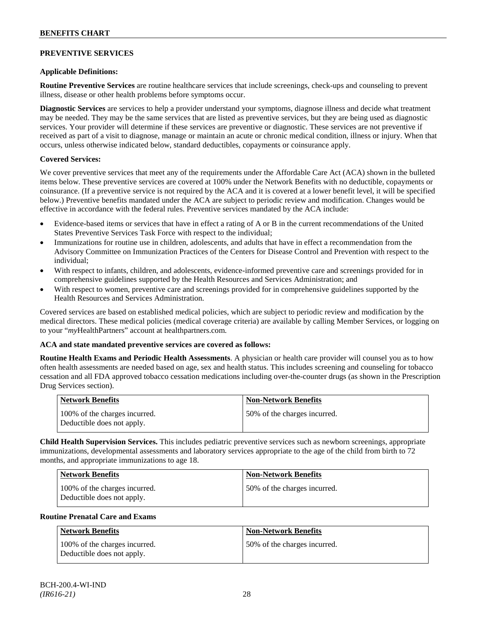# **PREVENTIVE SERVICES**

# **Applicable Definitions:**

**Routine Preventive Services** are routine healthcare services that include screenings, check-ups and counseling to prevent illness, disease or other health problems before symptoms occur.

**Diagnostic Services** are services to help a provider understand your symptoms, diagnose illness and decide what treatment may be needed. They may be the same services that are listed as preventive services, but they are being used as diagnostic services. Your provider will determine if these services are preventive or diagnostic. These services are not preventive if received as part of a visit to diagnose, manage or maintain an acute or chronic medical condition, illness or injury. When that occurs, unless otherwise indicated below, standard deductibles, copayments or coinsurance apply.

# **Covered Services:**

We cover preventive services that meet any of the requirements under the Affordable Care Act (ACA) shown in the bulleted items below. These preventive services are covered at 100% under the Network Benefits with no deductible, copayments or coinsurance. (If a preventive service is not required by the ACA and it is covered at a lower benefit level, it will be specified below.) Preventive benefits mandated under the ACA are subject to periodic review and modification. Changes would be effective in accordance with the federal rules. Preventive services mandated by the ACA include:

- Evidence-based items or services that have in effect a rating of A or B in the current recommendations of the United States Preventive Services Task Force with respect to the individual;
- Immunizations for routine use in children, adolescents, and adults that have in effect a recommendation from the Advisory Committee on Immunization Practices of the Centers for Disease Control and Prevention with respect to the individual;
- With respect to infants, children, and adolescents, evidence-informed preventive care and screenings provided for in comprehensive guidelines supported by the Health Resources and Services Administration; and
- With respect to women, preventive care and screenings provided for in comprehensive guidelines supported by the Health Resources and Services Administration.

Covered services are based on established medical policies, which are subject to periodic review and modification by the medical directors. These medical policies (medical coverage criteria) are available by calling Member Services, or logging on to your "*my*HealthPartners" account at [healthpartners.com.](http://www.healthpartners.com/)

# **ACA and state mandated preventive services are covered as follows:**

**Routine Health Exams and Periodic Health Assessments**. A physician or health care provider will counsel you as to how often health assessments are needed based on age, sex and health status. This includes screening and counseling for tobacco cessation and all FDA approved tobacco cessation medications including over-the-counter drugs (as shown in the Prescription Drug Services section).

| <b>Network Benefits</b>                                     | <b>Non-Network Benefits</b>  |
|-------------------------------------------------------------|------------------------------|
| 100% of the charges incurred.<br>Deductible does not apply. | 50% of the charges incurred. |

**Child Health Supervision Services.** This includes pediatric preventive services such as newborn screenings, appropriate immunizations, developmental assessments and laboratory services appropriate to the age of the child from birth to 72 months, and appropriate immunizations to age 18.

| <b>Network Benefits</b>                                     | <b>Non-Network Benefits</b>   |
|-------------------------------------------------------------|-------------------------------|
| 100% of the charges incurred.<br>Deductible does not apply. | 150% of the charges incurred. |

#### **Routine Prenatal Care and Exams**

| Network Benefits                                            | <b>Non-Network Benefits</b>  |
|-------------------------------------------------------------|------------------------------|
| 100% of the charges incurred.<br>Deductible does not apply. | 50% of the charges incurred. |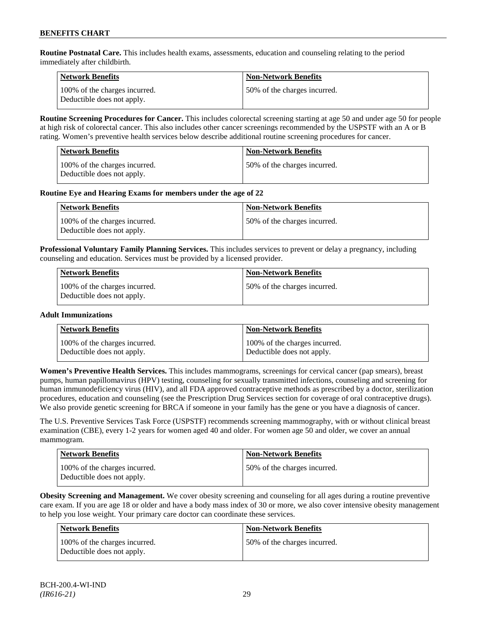**Routine Postnatal Care.** This includes health exams, assessments, education and counseling relating to the period immediately after childbirth.

| <b>Network Benefits</b>                                     | <b>Non-Network Benefits</b>  |
|-------------------------------------------------------------|------------------------------|
| 100% of the charges incurred.<br>Deductible does not apply. | 50% of the charges incurred. |

**Routine Screening Procedures for Cancer.** This includes colorectal screening starting at age 50 and under age 50 for people at high risk of colorectal cancer. This also includes other cancer screenings recommended by the USPSTF with an A or B rating. Women's preventive health services below describe additional routine screening procedures for cancer.

| <b>Network Benefits</b>                                     | Non-Network Benefits          |
|-------------------------------------------------------------|-------------------------------|
| 100% of the charges incurred.<br>Deductible does not apply. | 150% of the charges incurred. |

### **Routine Eye and Hearing Exams for members under the age of 22**

| <b>Network Benefits</b>                                     | <b>Non-Network Benefits</b>  |
|-------------------------------------------------------------|------------------------------|
| 100% of the charges incurred.<br>Deductible does not apply. | 50% of the charges incurred. |

**Professional Voluntary Family Planning Services.** This includes services to prevent or delay a pregnancy, including counseling and education. Services must be provided by a licensed provider.

| <b>Network Benefits</b>                                     | <b>Non-Network Benefits</b>  |
|-------------------------------------------------------------|------------------------------|
| 100% of the charges incurred.<br>Deductible does not apply. | 50% of the charges incurred. |

#### **Adult Immunizations**

| <b>Network Benefits</b>       | <b>Non-Network Benefits</b>   |
|-------------------------------|-------------------------------|
| 100% of the charges incurred. | 100% of the charges incurred. |
| Deductible does not apply.    | Deductible does not apply.    |

**Women's Preventive Health Services.** This includes mammograms, screenings for cervical cancer (pap smears), breast pumps, human papillomavirus (HPV) testing, counseling for sexually transmitted infections, counseling and screening for human immunodeficiency virus (HIV), and all FDA approved contraceptive methods as prescribed by a doctor, sterilization procedures, education and counseling (see the Prescription Drug Services section for coverage of oral contraceptive drugs). We also provide genetic screening for BRCA if someone in your family has the gene or you have a diagnosis of cancer.

The U.S. Preventive Services Task Force (USPSTF) recommends screening mammography, with or without clinical breast examination (CBE), every 1-2 years for women aged 40 and older. For women age 50 and older, we cover an annual mammogram.

| Network Benefits                                            | <b>Non-Network Benefits</b>  |
|-------------------------------------------------------------|------------------------------|
| 100% of the charges incurred.<br>Deductible does not apply. | 50% of the charges incurred. |

**Obesity Screening and Management.** We cover obesity screening and counseling for all ages during a routine preventive care exam. If you are age 18 or older and have a body mass index of 30 or more, we also cover intensive obesity management to help you lose weight. Your primary care doctor can coordinate these services.

| <b>Network Benefits</b>                                     | <b>Non-Network Benefits</b>  |
|-------------------------------------------------------------|------------------------------|
| 100% of the charges incurred.<br>Deductible does not apply. | 50% of the charges incurred. |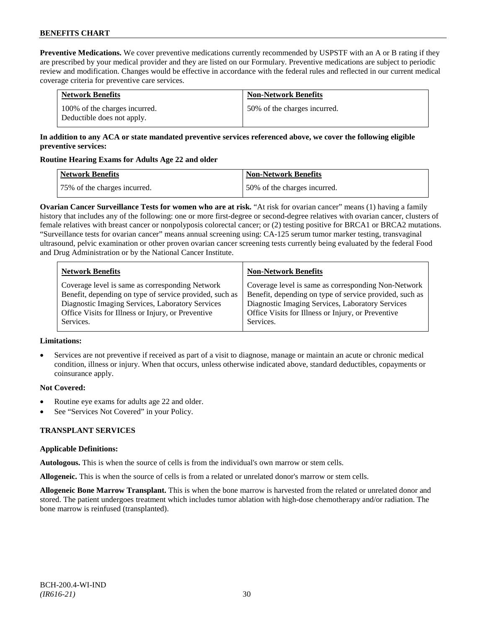**Preventive Medications.** We cover preventive medications currently recommended by USPSTF with an A or B rating if they are prescribed by your medical provider and they are listed on our Formulary. Preventive medications are subject to periodic review and modification. Changes would be effective in accordance with the federal rules and reflected in our current medical coverage criteria for preventive care services.

| <b>Network Benefits</b>                                     | <b>Non-Network Benefits</b>  |
|-------------------------------------------------------------|------------------------------|
| 100% of the charges incurred.<br>Deductible does not apply. | 50% of the charges incurred. |

# **In addition to any ACA or state mandated preventive services referenced above, we cover the following eligible preventive services:**

# **Routine Hearing Exams for Adults Age 22 and older**

| Network Benefits             | <b>Non-Network Benefits</b>  |
|------------------------------|------------------------------|
| 75% of the charges incurred. | 50% of the charges incurred. |

**Ovarian Cancer Surveillance Tests for women who are at risk.** "At risk for ovarian cancer" means (1) having a family history that includes any of the following: one or more first-degree or second-degree relatives with ovarian cancer, clusters of female relatives with breast cancer or nonpolyposis colorectal cancer; or (2) testing positive for BRCA1 or BRCA2 mutations. "Surveillance tests for ovarian cancer" means annual screening using: CA-125 serum tumor marker testing, transvaginal ultrasound, pelvic examination or other proven ovarian cancer screening tests currently being evaluated by the federal Food and Drug Administration or by the National Cancer Institute.

| <b>Network Benefits</b>                                 | <b>Non-Network Benefits</b>                             |
|---------------------------------------------------------|---------------------------------------------------------|
| Coverage level is same as corresponding Network         | Coverage level is same as corresponding Non-Network     |
| Benefit, depending on type of service provided, such as | Benefit, depending on type of service provided, such as |
| Diagnostic Imaging Services, Laboratory Services        | Diagnostic Imaging Services, Laboratory Services        |
| Office Visits for Illness or Injury, or Preventive      | Office Visits for Illness or Injury, or Preventive      |
| Services.                                               | Services.                                               |

# **Limitations:**

• Services are not preventive if received as part of a visit to diagnose, manage or maintain an acute or chronic medical condition, illness or injury. When that occurs, unless otherwise indicated above, standard deductibles, copayments or coinsurance apply.

# **Not Covered:**

- Routine eye exams for adults age 22 and older.
- See "Services Not Covered" in your Policy.

# **TRANSPLANT SERVICES**

# **Applicable Definitions:**

**Autologous.** This is when the source of cells is from the individual's own marrow or stem cells.

**Allogeneic.** This is when the source of cells is from a related or unrelated donor's marrow or stem cells.

**Allogeneic Bone Marrow Transplant.** This is when the bone marrow is harvested from the related or unrelated donor and stored. The patient undergoes treatment which includes tumor ablation with high-dose chemotherapy and/or radiation. The bone marrow is reinfused (transplanted).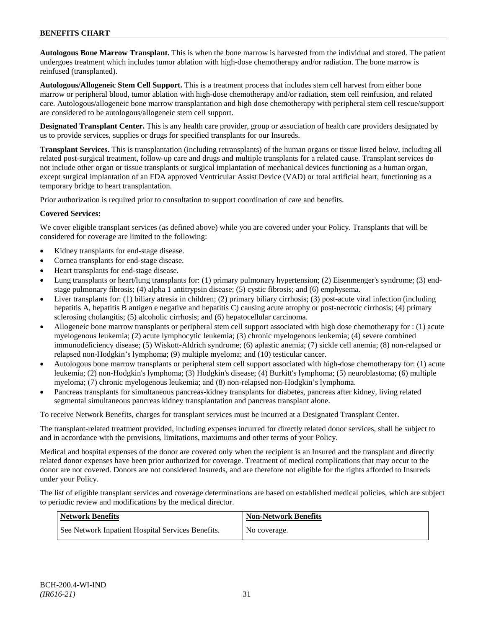**Autologous Bone Marrow Transplant.** This is when the bone marrow is harvested from the individual and stored. The patient undergoes treatment which includes tumor ablation with high-dose chemotherapy and/or radiation. The bone marrow is reinfused (transplanted).

**Autologous/Allogeneic Stem Cell Support.** This is a treatment process that includes stem cell harvest from either bone marrow or peripheral blood, tumor ablation with high-dose chemotherapy and/or radiation, stem cell reinfusion, and related care. Autologous/allogeneic bone marrow transplantation and high dose chemotherapy with peripheral stem cell rescue/support are considered to be autologous/allogeneic stem cell support.

**Designated Transplant Center.** This is any health care provider, group or association of health care providers designated by us to provide services, supplies or drugs for specified transplants for our Insureds.

**Transplant Services.** This is transplantation (including retransplants) of the human organs or tissue listed below, including all related post-surgical treatment, follow-up care and drugs and multiple transplants for a related cause. Transplant services do not include other organ or tissue transplants or surgical implantation of mechanical devices functioning as a human organ, except surgical implantation of an FDA approved Ventricular Assist Device (VAD) or total artificial heart, functioning as a temporary bridge to heart transplantation.

Prior authorization is required prior to consultation to support coordination of care and benefits.

# **Covered Services:**

We cover eligible transplant services (as defined above) while you are covered under your Policy. Transplants that will be considered for coverage are limited to the following:

- Kidney transplants for end-stage disease.
- Cornea transplants for end-stage disease.
- Heart transplants for end-stage disease.
- Lung transplants or heart/lung transplants for: (1) primary pulmonary hypertension; (2) Eisenmenger's syndrome; (3) endstage pulmonary fibrosis; (4) alpha 1 antitrypsin disease; (5) cystic fibrosis; and (6) emphysema.
- Liver transplants for: (1) biliary atresia in children; (2) primary biliary cirrhosis; (3) post-acute viral infection (including hepatitis A, hepatitis B antigen e negative and hepatitis C) causing acute atrophy or post-necrotic cirrhosis; (4) primary sclerosing cholangitis; (5) alcoholic cirrhosis; and (6) hepatocellular carcinoma.
- Allogeneic bone marrow transplants or peripheral stem cell support associated with high dose chemotherapy for : (1) acute myelogenous leukemia; (2) acute lymphocytic leukemia; (3) chronic myelogenous leukemia; (4) severe combined immunodeficiency disease; (5) Wiskott-Aldrich syndrome; (6) aplastic anemia; (7) sickle cell anemia; (8) non-relapsed or relapsed non-Hodgkin's lymphoma; (9) multiple myeloma; and (10) testicular cancer.
- Autologous bone marrow transplants or peripheral stem cell support associated with high-dose chemotherapy for: (1) acute leukemia; (2) non-Hodgkin's lymphoma; (3) Hodgkin's disease; (4) Burkitt's lymphoma; (5) neuroblastoma; (6) multiple myeloma; (7) chronic myelogenous leukemia; and (8) non-relapsed non-Hodgkin's lymphoma.
- Pancreas transplants for simultaneous pancreas-kidney transplants for diabetes, pancreas after kidney, living related segmental simultaneous pancreas kidney transplantation and pancreas transplant alone.

To receive Network Benefits, charges for transplant services must be incurred at a Designated Transplant Center.

The transplant-related treatment provided, including expenses incurred for directly related donor services, shall be subject to and in accordance with the provisions, limitations, maximums and other terms of your Policy.

Medical and hospital expenses of the donor are covered only when the recipient is an Insured and the transplant and directly related donor expenses have been prior authorized for coverage. Treatment of medical complications that may occur to the donor are not covered. Donors are not considered Insureds, and are therefore not eligible for the rights afforded to Insureds under your Policy.

The list of eligible transplant services and coverage determinations are based on established medical policies, which are subject to periodic review and modifications by the medical director.

| <b>Network Benefits</b>                           | <b>Non-Network Benefits</b> |
|---------------------------------------------------|-----------------------------|
| See Network Inpatient Hospital Services Benefits. | No coverage.                |